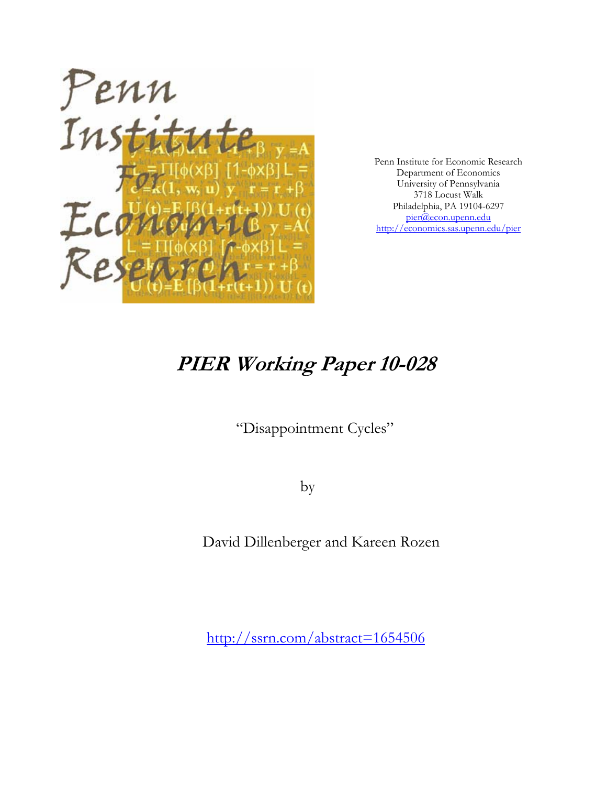

Penn Institute for Economic Research Department of Economics University of Pennsylvania 3718 Locust Walk Philadelphia, PA 19104-6297 pier@econ.upenn.edu http://economics.sas.upenn.edu/pier

# **PIER Working Paper 10-028**

"Disappointment Cycles"

by

David Dillenberger and Kareen Rozen

http://ssrn.com/abstract=1654506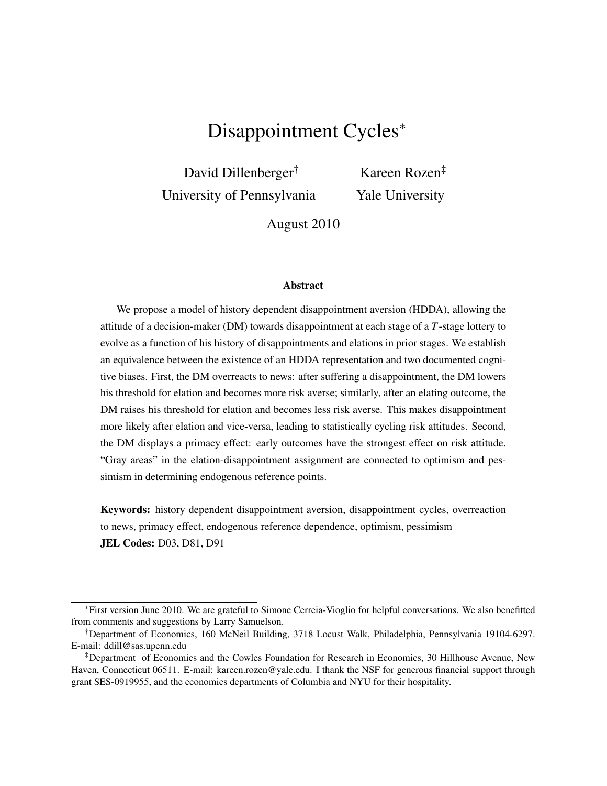## Disappointment Cycles<sup>∗</sup>

David Dillenberger† University of Pennsylvania

Kareen Rozen‡ Yale University

August 2010

#### Abstract

We propose a model of history dependent disappointment aversion (HDDA), allowing the attitude of a decision-maker (DM) towards disappointment at each stage of a *T*-stage lottery to evolve as a function of his history of disappointments and elations in prior stages. We establish an equivalence between the existence of an HDDA representation and two documented cognitive biases. First, the DM overreacts to news: after suffering a disappointment, the DM lowers his threshold for elation and becomes more risk averse; similarly, after an elating outcome, the DM raises his threshold for elation and becomes less risk averse. This makes disappointment more likely after elation and vice-versa, leading to statistically cycling risk attitudes. Second, the DM displays a primacy effect: early outcomes have the strongest effect on risk attitude. "Gray areas" in the elation-disappointment assignment are connected to optimism and pessimism in determining endogenous reference points.

Keywords: history dependent disappointment aversion, disappointment cycles, overreaction to news, primacy effect, endogenous reference dependence, optimism, pessimism JEL Codes: D03, D81, D91

<sup>∗</sup>First version June 2010. We are grateful to Simone Cerreia-Vioglio for helpful conversations. We also benefitted from comments and suggestions by Larry Samuelson.

<sup>†</sup>Department of Economics, 160 McNeil Building, 3718 Locust Walk, Philadelphia, Pennsylvania 19104-6297. E-mail: ddill@sas.upenn.edu

<sup>‡</sup>Department of Economics and the Cowles Foundation for Research in Economics, 30 Hillhouse Avenue, New Haven, Connecticut 06511. E-mail: kareen.rozen@yale.edu. I thank the NSF for generous financial support through grant SES-0919955, and the economics departments of Columbia and NYU for their hospitality.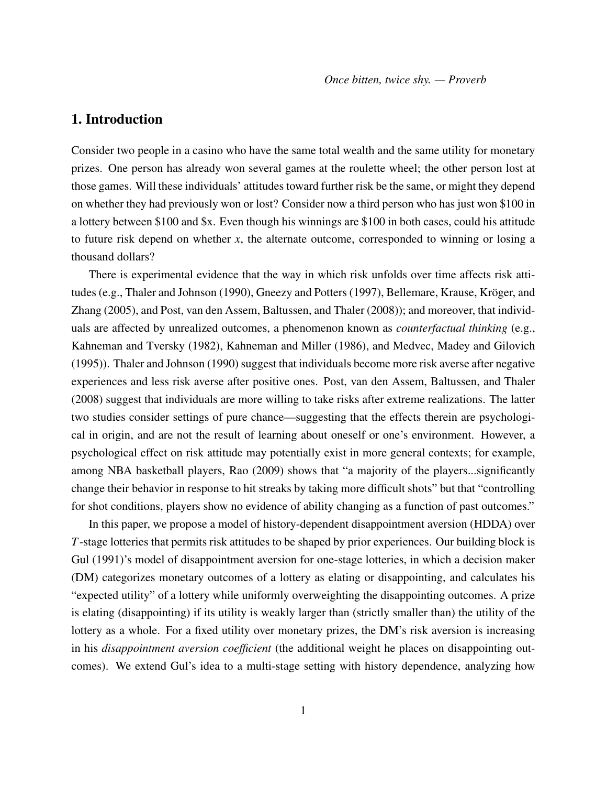## 1. Introduction

Consider two people in a casino who have the same total wealth and the same utility for monetary prizes. One person has already won several games at the roulette wheel; the other person lost at those games. Will these individuals' attitudes toward further risk be the same, or might they depend on whether they had previously won or lost? Consider now a third person who has just won \$100 in a lottery between \$100 and \$x. Even though his winnings are \$100 in both cases, could his attitude to future risk depend on whether *x*, the alternate outcome, corresponded to winning or losing a thousand dollars?

There is experimental evidence that the way in which risk unfolds over time affects risk attitudes (e.g., Thaler and Johnson (1990), Gneezy and Potters (1997), Bellemare, Krause, Kröger, and Zhang (2005), and Post, van den Assem, Baltussen, and Thaler (2008)); and moreover, that individuals are affected by unrealized outcomes, a phenomenon known as *counterfactual thinking* (e.g., Kahneman and Tversky (1982), Kahneman and Miller (1986), and Medvec, Madey and Gilovich (1995)). Thaler and Johnson (1990) suggest that individuals become more risk averse after negative experiences and less risk averse after positive ones. Post, van den Assem, Baltussen, and Thaler (2008) suggest that individuals are more willing to take risks after extreme realizations. The latter two studies consider settings of pure chance—suggesting that the effects therein are psychological in origin, and are not the result of learning about oneself or one's environment. However, a psychological effect on risk attitude may potentially exist in more general contexts; for example, among NBA basketball players, Rao (2009) shows that "a majority of the players...significantly change their behavior in response to hit streaks by taking more difficult shots" but that "controlling for shot conditions, players show no evidence of ability changing as a function of past outcomes."

In this paper, we propose a model of history-dependent disappointment aversion (HDDA) over *T*-stage lotteries that permits risk attitudes to be shaped by prior experiences. Our building block is Gul (1991)'s model of disappointment aversion for one-stage lotteries, in which a decision maker (DM) categorizes monetary outcomes of a lottery as elating or disappointing, and calculates his "expected utility" of a lottery while uniformly overweighting the disappointing outcomes. A prize is elating (disappointing) if its utility is weakly larger than (strictly smaller than) the utility of the lottery as a whole. For a fixed utility over monetary prizes, the DM's risk aversion is increasing in his *disappointment aversion coefficient* (the additional weight he places on disappointing outcomes). We extend Gul's idea to a multi-stage setting with history dependence, analyzing how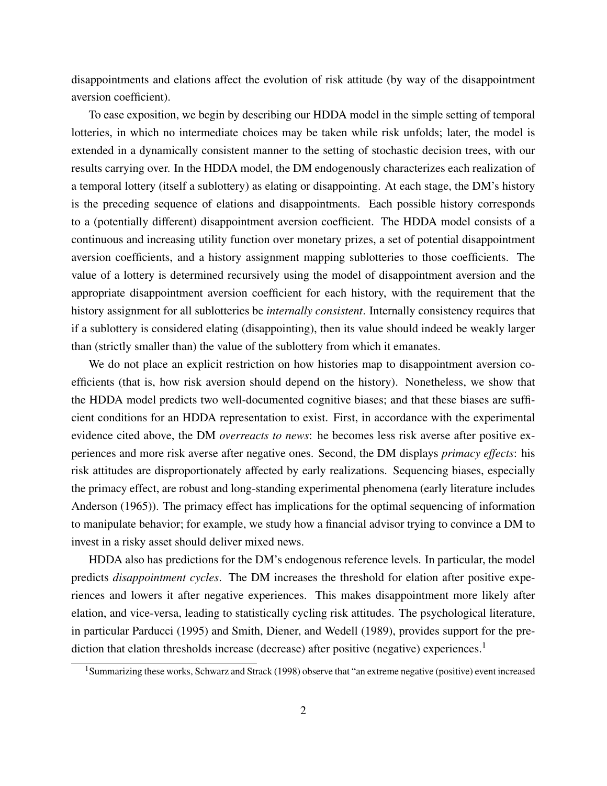disappointments and elations affect the evolution of risk attitude (by way of the disappointment aversion coefficient).

To ease exposition, we begin by describing our HDDA model in the simple setting of temporal lotteries, in which no intermediate choices may be taken while risk unfolds; later, the model is extended in a dynamically consistent manner to the setting of stochastic decision trees, with our results carrying over. In the HDDA model, the DM endogenously characterizes each realization of a temporal lottery (itself a sublottery) as elating or disappointing. At each stage, the DM's history is the preceding sequence of elations and disappointments. Each possible history corresponds to a (potentially different) disappointment aversion coefficient. The HDDA model consists of a continuous and increasing utility function over monetary prizes, a set of potential disappointment aversion coefficients, and a history assignment mapping sublotteries to those coefficients. The value of a lottery is determined recursively using the model of disappointment aversion and the appropriate disappointment aversion coefficient for each history, with the requirement that the history assignment for all sublotteries be *internally consistent*. Internally consistency requires that if a sublottery is considered elating (disappointing), then its value should indeed be weakly larger than (strictly smaller than) the value of the sublottery from which it emanates.

We do not place an explicit restriction on how histories map to disappointment aversion coefficients (that is, how risk aversion should depend on the history). Nonetheless, we show that the HDDA model predicts two well-documented cognitive biases; and that these biases are sufficient conditions for an HDDA representation to exist. First, in accordance with the experimental evidence cited above, the DM *overreacts to news*: he becomes less risk averse after positive experiences and more risk averse after negative ones. Second, the DM displays *primacy effects*: his risk attitudes are disproportionately affected by early realizations. Sequencing biases, especially the primacy effect, are robust and long-standing experimental phenomena (early literature includes Anderson (1965)). The primacy effect has implications for the optimal sequencing of information to manipulate behavior; for example, we study how a financial advisor trying to convince a DM to invest in a risky asset should deliver mixed news.

HDDA also has predictions for the DM's endogenous reference levels. In particular, the model predicts *disappointment cycles*. The DM increases the threshold for elation after positive experiences and lowers it after negative experiences. This makes disappointment more likely after elation, and vice-versa, leading to statistically cycling risk attitudes. The psychological literature, in particular Parducci (1995) and Smith, Diener, and Wedell (1989), provides support for the prediction that elation thresholds increase (decrease) after positive (negative) experiences.<sup>1</sup>

<sup>1</sup>Summarizing these works, Schwarz and Strack (1998) observe that "an extreme negative (positive) event increased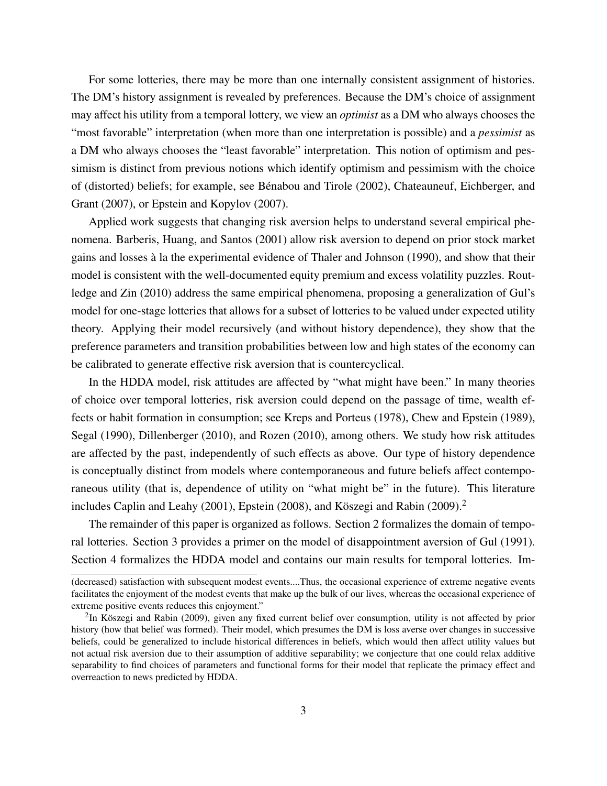For some lotteries, there may be more than one internally consistent assignment of histories. The DM's history assignment is revealed by preferences. Because the DM's choice of assignment may affect his utility from a temporal lottery, we view an *optimist* as a DM who always chooses the "most favorable" interpretation (when more than one interpretation is possible) and a *pessimist* as a DM who always chooses the "least favorable" interpretation. This notion of optimism and pessimism is distinct from previous notions which identify optimism and pessimism with the choice of (distorted) beliefs; for example, see Benabou and Tirole (2002), Chateauneuf, Eichberger, and ´ Grant (2007), or Epstein and Kopylov (2007).

Applied work suggests that changing risk aversion helps to understand several empirical phenomena. Barberis, Huang, and Santos (2001) allow risk aversion to depend on prior stock market gains and losses à la the experimental evidence of Thaler and Johnson (1990), and show that their model is consistent with the well-documented equity premium and excess volatility puzzles. Routledge and Zin (2010) address the same empirical phenomena, proposing a generalization of Gul's model for one-stage lotteries that allows for a subset of lotteries to be valued under expected utility theory. Applying their model recursively (and without history dependence), they show that the preference parameters and transition probabilities between low and high states of the economy can be calibrated to generate effective risk aversion that is countercyclical.

In the HDDA model, risk attitudes are affected by "what might have been." In many theories of choice over temporal lotteries, risk aversion could depend on the passage of time, wealth effects or habit formation in consumption; see Kreps and Porteus (1978), Chew and Epstein (1989), Segal (1990), Dillenberger (2010), and Rozen (2010), among others. We study how risk attitudes are affected by the past, independently of such effects as above. Our type of history dependence is conceptually distinct from models where contemporaneous and future beliefs affect contemporaneous utility (that is, dependence of utility on "what might be" in the future). This literature includes Caplin and Leahy (2001), Epstein (2008), and Köszegi and Rabin (2009).<sup>2</sup>

The remainder of this paper is organized as follows. Section 2 formalizes the domain of temporal lotteries. Section 3 provides a primer on the model of disappointment aversion of Gul (1991). Section 4 formalizes the HDDA model and contains our main results for temporal lotteries. Im-

<sup>(</sup>decreased) satisfaction with subsequent modest events....Thus, the occasional experience of extreme negative events facilitates the enjoyment of the modest events that make up the bulk of our lives, whereas the occasional experience of extreme positive events reduces this enjoyment."

 $2$ In Köszegi and Rabin (2009), given any fixed current belief over consumption, utility is not affected by prior history (how that belief was formed). Their model, which presumes the DM is loss averse over changes in successive beliefs, could be generalized to include historical differences in beliefs, which would then affect utility values but not actual risk aversion due to their assumption of additive separability; we conjecture that one could relax additive separability to find choices of parameters and functional forms for their model that replicate the primacy effect and overreaction to news predicted by HDDA.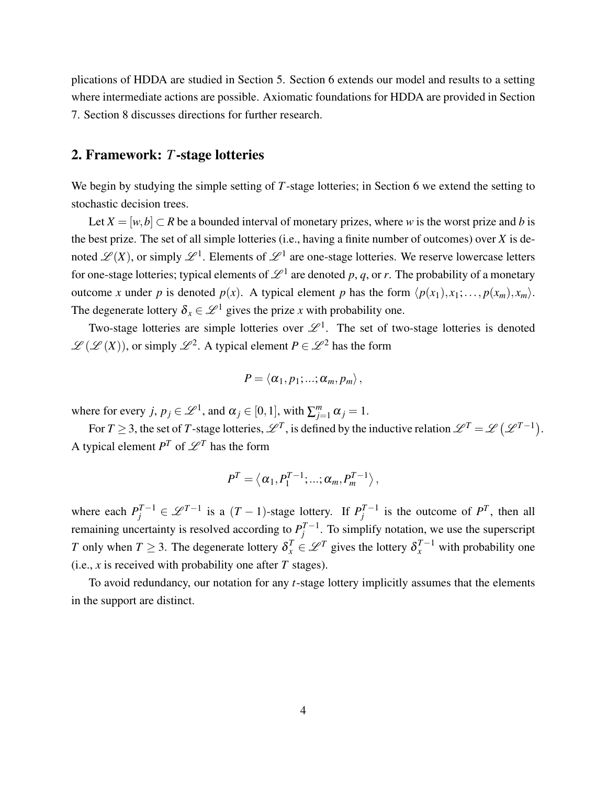plications of HDDA are studied in Section 5. Section 6 extends our model and results to a setting where intermediate actions are possible. Axiomatic foundations for HDDA are provided in Section 7. Section 8 discusses directions for further research.

## 2. Framework: *T*-stage lotteries

We begin by studying the simple setting of *T*-stage lotteries; in Section 6 we extend the setting to stochastic decision trees.

Let  $X = [w, b] \subset R$  be a bounded interval of monetary prizes, where *w* is the worst prize and *b* is the best prize. The set of all simple lotteries (i.e., having a finite number of outcomes) over *X* is denoted  $\mathscr{L}(X)$ , or simply  $\mathscr{L}^1$ . Elements of  $\mathscr{L}^1$  are one-stage lotteries. We reserve lowercase letters for one-stage lotteries; typical elements of  $\mathscr{L}^1$  are denoted  $p, q,$  or  $r.$  The probability of a monetary outcome *x* under *p* is denoted  $p(x)$ . A typical element *p* has the form  $\langle p(x_1), x_1; \ldots, p(x_m), x_m \rangle$ . The degenerate lottery  $\delta_x \in \mathcal{L}^1$  gives the prize *x* with probability one.

Two-stage lotteries are simple lotteries over  $\mathscr{L}^1$ . The set of two-stage lotteries is denoted  $\mathscr{L}(\mathscr{L}(X))$ , or simply  $\mathscr{L}^2$ . A typical element  $P \in \mathscr{L}^2$  has the form

$$
P=\left\langle \alpha_1,p_1;\ldots;\alpha_m,p_m\right\rangle,
$$

where for every *j*,  $p_j \in \mathcal{L}^1$ , and  $\alpha_j \in [0,1]$ , with  $\sum_{j=1}^m \alpha_j = 1$ .

For  $T \geq 3$ , the set of *T*-stage lotteries,  $\mathscr{L}^T$ , is defined by the inductive relation  $\mathscr{L}^T = \mathscr{L}(\mathscr{L}^{T-1})$ . A typical element  $P^T$  of  $\mathscr{L}^T$  has the form

$$
P^T = \langle \alpha_1, P_1^{T-1}; \ldots; \alpha_m, P_m^{T-1} \rangle
$$

where each  $P_j^{T-1} \in \mathcal{L}^{T-1}$  is a  $(T-1)$ -stage lottery. If  $P_j^{T-1}$  $j^{T-1}$  is the outcome of  $P^T$ , then all remaining uncertainty is resolved according to  $P_i^{T-1}$  $j^{I-1}$ . To simplify notation, we use the superscript *T* only when  $T \geq 3$ . The degenerate lottery  $\delta_x^T \in \mathcal{L}^T$  gives the lottery  $\delta_x^{T-1}$  with probability one (i.e.,  $\chi$  is received with probability one after  $T$  stages).

To avoid redundancy, our notation for any *t*-stage lottery implicitly assumes that the elements in the support are distinct.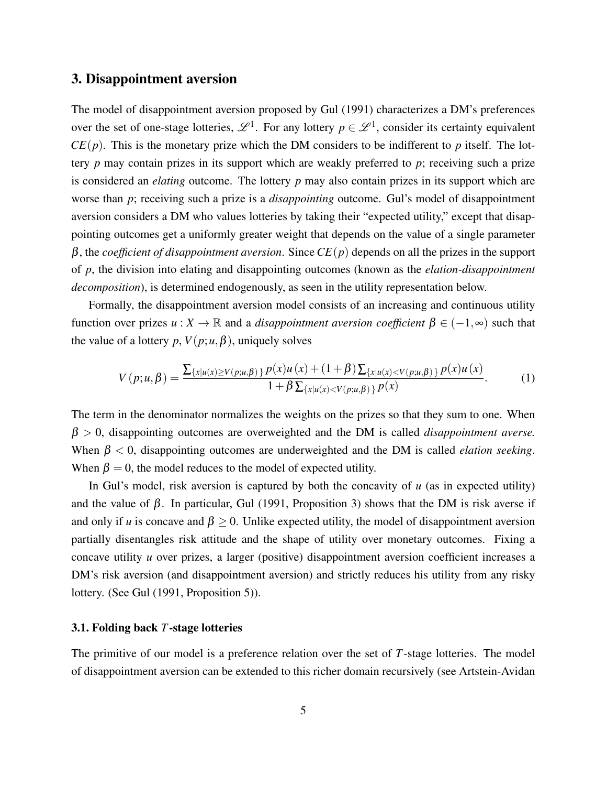#### 3. Disappointment aversion

The model of disappointment aversion proposed by Gul (1991) characterizes a DM's preferences over the set of one-stage lotteries,  $\mathscr{L}^1$ . For any lottery  $p \in \mathscr{L}^1$ , consider its certainty equivalent  $CE(p)$ . This is the monetary prize which the DM considers to be indifferent to *p* itself. The lottery *p* may contain prizes in its support which are weakly preferred to *p*; receiving such a prize is considered an *elating* outcome. The lottery *p* may also contain prizes in its support which are worse than *p*; receiving such a prize is a *disappointing* outcome. Gul's model of disappointment aversion considers a DM who values lotteries by taking their "expected utility," except that disappointing outcomes get a uniformly greater weight that depends on the value of a single parameter β, the *coefficient of disappointment aversion*. Since *CE*(*p*) depends on all the prizes in the support of *p*, the division into elating and disappointing outcomes (known as the *elation-disappointment decomposition*), is determined endogenously, as seen in the utility representation below.

Formally, the disappointment aversion model consists of an increasing and continuous utility function over prizes  $u : X \to \mathbb{R}$  and a *disappointment aversion coefficient*  $\beta \in (-1, \infty)$  such that the value of a lottery  $p, V(p; u, \beta)$ , uniquely solves

$$
V(p;u,\beta) = \frac{\sum_{\{x|u(x)\geq V(p;u,\beta)\}} p(x)u(x) + (1+\beta)\sum_{\{x|u(x)< V(p;u,\beta)\}} p(x)u(x)}{1+\beta\sum_{\{x|u(x)< V(p;u,\beta)\}} p(x)}.
$$
 (1)

The term in the denominator normalizes the weights on the prizes so that they sum to one. When β > 0, disappointing outcomes are overweighted and the DM is called *disappointment averse.* When β < 0, disappointing outcomes are underweighted and the DM is called *elation seeking*. When  $\beta = 0$ , the model reduces to the model of expected utility.

In Gul's model, risk aversion is captured by both the concavity of *u* (as in expected utility) and the value of  $\beta$ . In particular, Gul (1991, Proposition 3) shows that the DM is risk averse if and only if *u* is concave and  $\beta > 0$ . Unlike expected utility, the model of disappointment aversion partially disentangles risk attitude and the shape of utility over monetary outcomes. Fixing a concave utility *u* over prizes, a larger (positive) disappointment aversion coefficient increases a DM's risk aversion (and disappointment aversion) and strictly reduces his utility from any risky lottery. (See Gul (1991, Proposition 5)).

#### 3.1. Folding back *T*-stage lotteries

The primitive of our model is a preference relation over the set of *T*-stage lotteries. The model of disappointment aversion can be extended to this richer domain recursively (see Artstein-Avidan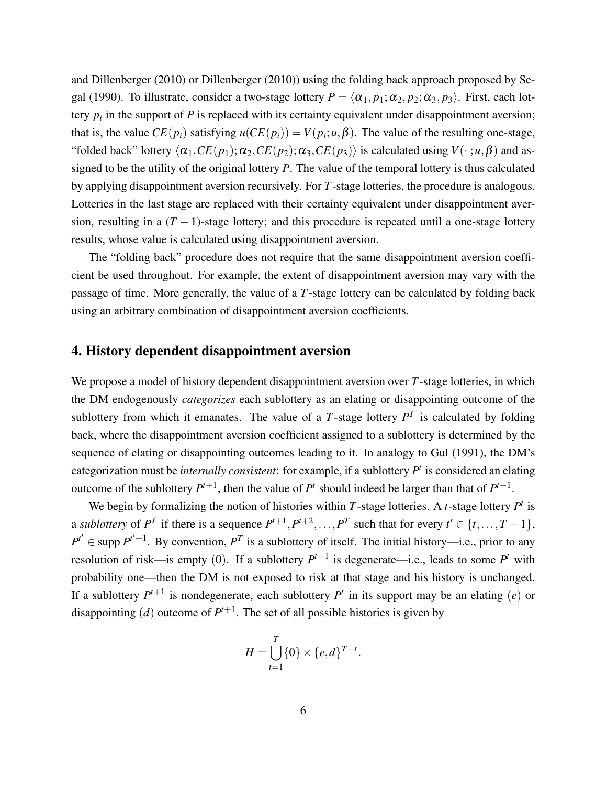and Dillenberger (2010) or Dillenberger (2010)) using the folding back approach proposed by Segal (1990). To illustrate, consider a two-stage lottery  $P = \langle \alpha_1, p_1; \alpha_2, p_2; \alpha_3, p_3 \rangle$ . First, each lottery  $p_i$  in the support of  $P$  is replaced with its certainty equivalent under disappointment aversion; that is, the value  $CE(p_i)$  satisfying  $u(CE(p_i)) = V(p_i; u, \beta)$ . The value of the resulting one-stage, "folded back" lottery  $\langle \alpha_1, CE(p_1); \alpha_2, CE(p_2); \alpha_3, CE(p_3) \rangle$  is calculated using  $V(\cdot; u, \beta)$  and assigned to be the utility of the original lottery *P*. The value of the temporal lottery is thus calculated by applying disappointment aversion recursively. For *T*-stage lotteries, the procedure is analogous. Lotteries in the last stage are replaced with their certainty equivalent under disappointment aversion, resulting in a  $(T - 1)$ -stage lottery; and this procedure is repeated until a one-stage lottery results, whose value is calculated using disappointment aversion.

The "folding back" procedure does not require that the same disappointment aversion coefficient be used throughout. For example, the extent of disappointment aversion may vary with the passage of time. More generally, the value of a *T*-stage lottery can be calculated by folding back using an arbitrary combination of disappointment aversion coefficients.

## 4. History dependent disappointment aversion

We propose a model of history dependent disappointment aversion over *T*-stage lotteries, in which the DM endogenously *categorizes* each sublottery as an elating or disappointing outcome of the sublottery from which it emanates. The value of a *T*-stage lottery  $P<sup>T</sup>$  is calculated by folding back, where the disappointment aversion coefficient assigned to a sublottery is determined by the sequence of elating or disappointing outcomes leading to it. In analogy to Gul (1991), the DM's categorization must be *internally consistent*: for example, if a sublottery *P t* is considered an elating outcome of the sublottery  $P^{t+1}$ , then the value of  $P^t$  should indeed be larger than that of  $P^{t+1}$ .

We begin by formalizing the notion of histories within  $T$ -stage lotteries. A *t*-stage lottery  $P<sup>t</sup>$  is a *sublottery* of  $P^T$  if there is a sequence  $P^{t+1}, P^{t+2}, \ldots, P^T$  such that for every  $t' \in \{t, \ldots, T-1\}$ ,  $P^{t'} \in \text{supp } P^{t'+1}$ . By convention,  $P^T$  is a sublottery of itself. The initial history—i.e., prior to any resolution of risk—is empty (0). If a sublottery  $P^{t+1}$  is degenerate—i.e., leads to some  $P^t$  with probability one—then the DM is not exposed to risk at that stage and his history is unchanged. If a sublottery  $P^{t+1}$  is nondegenerate, each sublottery  $P^{t}$  in its support may be an elating  $(e)$  or disappointing  $(d)$  outcome of  $P^{t+1}$ . The set of all possible histories is given by

$$
H = \bigcup_{t=1}^{T} \{0\} \times \{e, d\}^{T-t}.
$$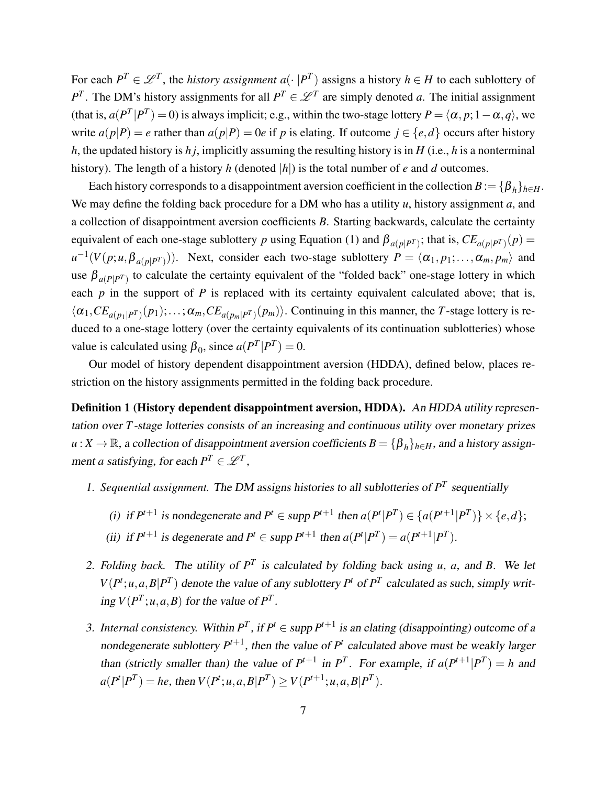For each  $P^T \in \mathcal{L}^T$ , the *history assignment a*( $\cdot |P^T$ ) assigns a history  $h \in H$  to each sublottery of *P*<sup>T</sup>. The DM's history assignments for all  $P^T \in \mathcal{L}^T$  are simply denoted *a*. The initial assignment (that is,  $a(P^T|P^T) = 0$ ) is always implicit; e.g., within the two-stage lottery  $P = \langle \alpha, p; 1 - \alpha, q \rangle$ , we write  $a(p|P) = e$  rather than  $a(p|P) = 0e$  if *p* is elating. If outcome  $j \in \{e, d\}$  occurs after history *h*, the updated history is  $h j$ , implicitly assuming the resulting history is in *H* (i.e., *h* is a nonterminal history). The length of a history *h* (denoted |*h*|) is the total number of *e* and *d* outcomes.

Each history corresponds to a disappointment aversion coefficient in the collection  $B := \{\beta_h\}_{h \in H}$ . We may define the folding back procedure for a DM who has a utility *u*, history assignment *a*, and a collection of disappointment aversion coefficients *B*. Starting backwards, calculate the certainty equivalent of each one-stage sublottery *p* using Equation (1) and  $\beta_{a(p|P^T)}$ ; that is,  $CE_{a(p|P^T)}(p)$  $u^{-1}(V(p; u, \beta_{a(p|P^T)}))$ . Next, consider each two-stage sublottery  $P = \langle \alpha_1, p_1; \dots, \alpha_m, p_m \rangle$  and use  $\beta_{a(P|P^T)}$  to calculate the certainty equivalent of the "folded back" one-stage lottery in which each *p* in the support of *P* is replaced with its certainty equivalent calculated above; that is,  $\langle \alpha_1, CE_{a(p_1|P^T)}(p_1); \ldots; \alpha_m, CE_{a(p_m|P^T)}(p_m) \rangle$ . Continuing in this manner, the *T*-stage lottery is reduced to a one-stage lottery (over the certainty equivalents of its continuation sublotteries) whose value is calculated using  $\beta_0$ , since  $a(P^T | P^T) = 0$ .

Our model of history dependent disappointment aversion (HDDA), defined below, places restriction on the history assignments permitted in the folding back procedure.

Definition 1 (History dependent disappointment aversion, HDDA). An HDDA utility representation over *T*-stage lotteries consists of an increasing and continuous utility over monetary prizes  $u: X \to \mathbb{R}$ , a collection of disappointment aversion coefficients  $B = \{\beta_h\}_{h \in H}$ , and a history assignment *a* satisfying, for each  $P^T \in \mathcal{L}^T$ ,

- 1. Sequential assignment. The DM assigns histories to all sublotteries of  $P<sup>T</sup>$  sequentially
	- (i) if  $P^{t+1}$  is nondegenerate and  $P^t \in \text{supp } P^{t+1}$  then  $a(P^t|P^T) \in \{a(P^{t+1}|P^T)\} \times \{e,d\};$ (ii) if  $P^{t+1}$  is degenerate and  $P^t \in \text{supp } P^{t+1}$  then  $a(P^t | P^T) = a(P^{t+1} | P^T)$ .
- 2. *Folding back.* The utility of  $P<sup>T</sup>$  is calculated by folding back using *u*, *a*, and *B*. We let  $V(P^t; u, a, B | P^T)$  denote the value of any sublottery  $P^t$  of  $P^T$  calculated as such, simply writ- $\int \int P \, dV$   $(P^T; u, a, B)$  for the value of  $P^T$ .
- 3. *Internal consistency.* Within  $P^T$ , if  $P^t \in \text{supp } P^{t+1}$  is an elating (disappointing) outcome of a nondegenerate sublottery  $P^{t+1}$ , then the value of  $P^t$  calculated above must be weakly larger than (strictly smaller than) the value of  $P^{t+1}$  in  $P^T$ . For example, if  $a(P^{t+1}|P^T) = h$  and  $a(P^t | P^T) = he$ , then  $V(P^t; u, a, B | P^T) \ge V(P^{t+1}; u, a, B | P^T)$ .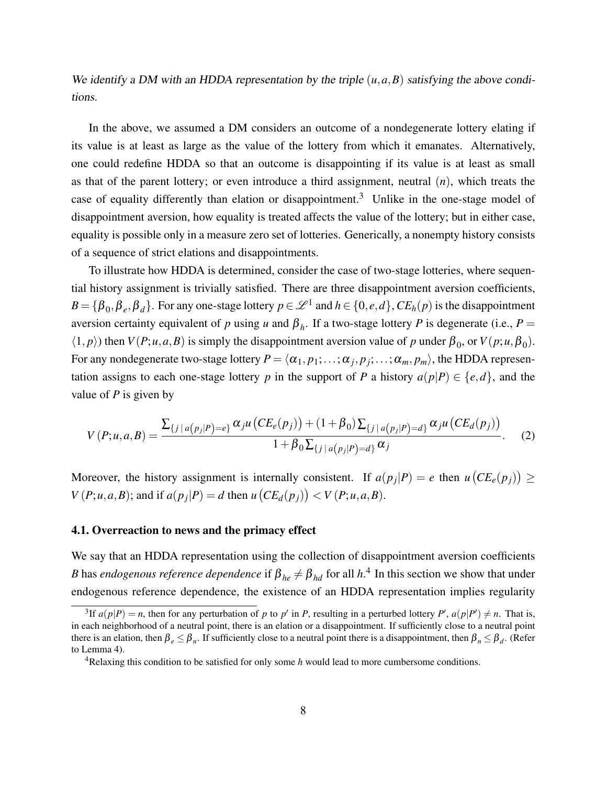We identify a DM with an HDDA representation by the triple  $(u, a, B)$  satisfying the above conditions.

In the above, we assumed a DM considers an outcome of a nondegenerate lottery elating if its value is at least as large as the value of the lottery from which it emanates. Alternatively, one could redefine HDDA so that an outcome is disappointing if its value is at least as small as that of the parent lottery; or even introduce a third assignment, neutral (*n*), which treats the case of equality differently than elation or disappointment.<sup>3</sup> Unlike in the one-stage model of disappointment aversion, how equality is treated affects the value of the lottery; but in either case, equality is possible only in a measure zero set of lotteries. Generically, a nonempty history consists of a sequence of strict elations and disappointments.

To illustrate how HDDA is determined, consider the case of two-stage lotteries, where sequential history assignment is trivially satisfied. There are three disappointment aversion coefficients,  $B = \{\beta_0, \beta_e, \beta_d\}$ . For any one-stage lottery  $p \in \mathcal{L}^1$  and  $h \in \{0, e, d\}$ ,  $CE_h(p)$  is the disappointment aversion certainty equivalent of *p* using *u* and  $\beta_h$ . If a two-stage lottery *P* is degenerate (i.e., *P* =  $\langle 1, p \rangle$  then  $V(P; u, a, B)$  is simply the disappointment aversion value of *p* under  $\beta_0$ , or  $V(p; u, \beta_0)$ . For any nondegenerate two-stage lottery  $P = \langle \alpha_1, p_1; \ldots; \alpha_j, p_j; \ldots; \alpha_m, p_m \rangle$ , the HDDA representation assigns to each one-stage lottery *p* in the support of *P* a history  $a(p|P) \in \{e, d\}$ , and the value of *P* is given by

$$
V(P;u,a,B) = \frac{\sum_{\{j \mid a(p_j|P)=e\}} \alpha_{j} u (CE_e(p_j)) + (1+\beta_0) \sum_{\{j \mid a(p_j|P)=d\}} \alpha_{j} u (CE_d(p_j))}{1+\beta_0 \sum_{\{j \mid a(p_j|P)=d\}} \alpha_{j}}.
$$
 (2)

Moreover, the history assignment is internally consistent. If  $a(p_j|P) = e$  then  $u(CE_e(p_j)) \ge$  $V(P; u, a, B)$ ; and if  $a(p_j|P) = d$  then  $u(CE_d(p_j)) < V(P; u, a, B)$ .

#### 4.1. Overreaction to news and the primacy effect

We say that an HDDA representation using the collection of disappointment aversion coefficients *B* has *endogenous reference dependence* if  $\beta_{he} \neq \beta_{hd}$  for all *h*.<sup>4</sup> In this section we show that under endogenous reference dependence, the existence of an HDDA representation implies regularity

<sup>&</sup>lt;sup>3</sup>If  $a(p|P) = n$ , then for any perturbation of p to p' in P, resulting in a perturbed lottery P',  $a(p|P') \neq n$ . That is, in each neighborhood of a neutral point, there is an elation or a disappointment. If sufficiently close to a neutral point there is an elation, then  $\beta_e \le \beta_n$ . If sufficiently close to a neutral point there is a disappointment, then  $\beta_n \le \beta_d$ . (Refer to Lemma 4).

<sup>4</sup>Relaxing this condition to be satisfied for only some *h* would lead to more cumbersome conditions.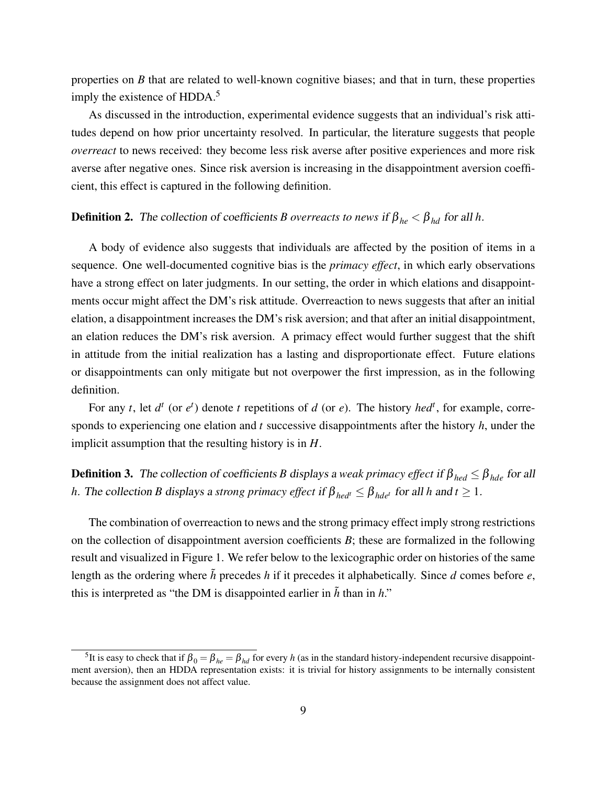properties on *B* that are related to well-known cognitive biases; and that in turn, these properties imply the existence of HDDA.<sup>5</sup>

As discussed in the introduction, experimental evidence suggests that an individual's risk attitudes depend on how prior uncertainty resolved. In particular, the literature suggests that people *overreact* to news received: they become less risk averse after positive experiences and more risk averse after negative ones. Since risk aversion is increasing in the disappointment aversion coefficient, this effect is captured in the following definition.

## **Definition 2.** The collection of coefficients *B* overreacts to news if  $\beta_{he} < \beta_{hd}$  for all *h*.

A body of evidence also suggests that individuals are affected by the position of items in a sequence. One well-documented cognitive bias is the *primacy effect*, in which early observations have a strong effect on later judgments. In our setting, the order in which elations and disappointments occur might affect the DM's risk attitude. Overreaction to news suggests that after an initial elation, a disappointment increases the DM's risk aversion; and that after an initial disappointment, an elation reduces the DM's risk aversion. A primacy effect would further suggest that the shift in attitude from the initial realization has a lasting and disproportionate effect. Future elations or disappointments can only mitigate but not overpower the first impression, as in the following definition.

For any *t*, let  $d^t$  (or  $e^t$ ) denote *t* repetitions of *d* (or *e*). The history *hed*<sup>*t*</sup>, for example, corresponds to experiencing one elation and *t* successive disappointments after the history *h*, under the implicit assumption that the resulting history is in *H*.

**Definition 3.** The collection of coefficients *B* displays a *weak primacy effect* if  $\beta_{hed} \leq \beta_{hde}$  for all *h*. The collection *B* displays a *strong primacy effect* if  $\beta_{\text{hed}^t} \leq \beta_{\text{hde}^t}$  for all *h* and  $t \geq 1$ .

The combination of overreaction to news and the strong primacy effect imply strong restrictions on the collection of disappointment aversion coefficients *B*; these are formalized in the following result and visualized in Figure 1. We refer below to the lexicographic order on histories of the same length as the ordering where  $\tilde{h}$  precedes *h* if it precedes it alphabetically. Since *d* comes before *e*, this is interpreted as "the DM is disappointed earlier in  $\tilde{h}$  than in  $h$ ."

<sup>&</sup>lt;sup>5</sup>It is easy to check that if  $\beta_0 = \beta_{he} = \beta_{hd}$  for every *h* (as in the standard history-independent recursive disappointment aversion), then an HDDA representation exists: it is trivial for history assignments to be internally consistent because the assignment does not affect value.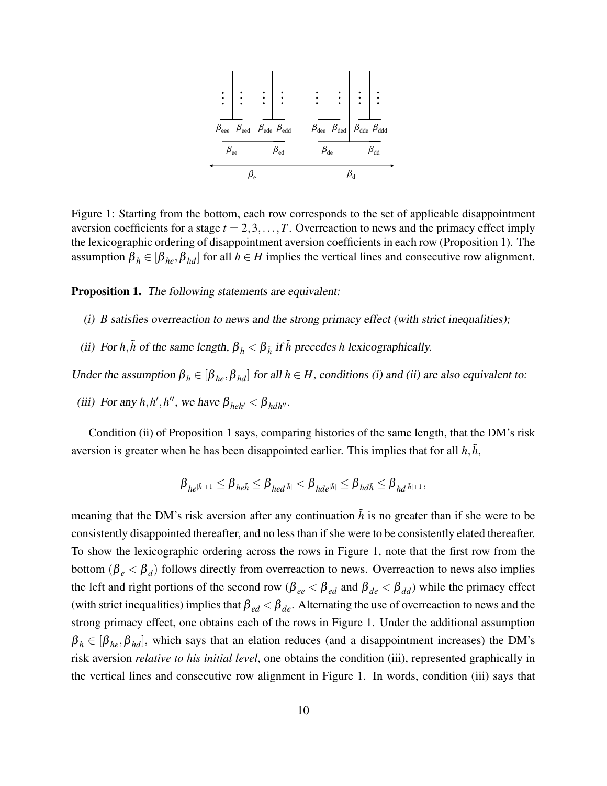

Figure 1: Starting from the bottom, each row corresponds to the set of applicable disappointment aversion coefficients for a stage  $t = 2, 3, \ldots, T$ . Overreaction to news and the primacy effect imply the lexicographic ordering of disappointment aversion coefficients in each row (Proposition 1). The assumption  $\beta_h \in [\beta_{he}, \beta_{hd}]$  for all  $h \in H$  implies the vertical lines and consecutive row alignment.

Proposition 1. The following statements are equivalent:

- (i) *B* satisfies overreaction to news and the strong primacy effect (with strict inequalities);
- (ii) For *h*, $\tilde{h}$  of the same length,  $\beta_h < \beta_{\tilde{h}}$  if  $\tilde{h}$  precedes *h* lexicographically.

Under the assumption  $\beta_h \in [\beta_{he}, \beta_{hd}]$  for all  $h \in H$ , conditions (i) and (ii) are also equivalent to:

(iii) For any  $h, h', h''$ , we have  $\beta_{\text{h}eh'} < \beta_{\text{h}dh''}$ .

Condition (ii) of Proposition 1 says, comparing histories of the same length, that the DM's risk aversion is greater when he has been disappointed earlier. This implies that for all  $h, h$ ,

$$
\beta_{\textit{he}^{|\tilde{h}|+1}} \leq \beta_{\textit{he} \tilde{h}} \leq \beta_{\textit{hed}^{|\tilde{h}|}} < \beta_{\textit{hde}^{|\tilde{h}|}} \leq \beta_{\textit{hd} \tilde{h}} \leq \beta_{\textit{hd}^{|\tilde{h}|+1}},
$$

meaning that the DM's risk aversion after any continuation  $\tilde{h}$  is no greater than if she were to be consistently disappointed thereafter, and no less than if she were to be consistently elated thereafter. To show the lexicographic ordering across the rows in Figure 1, note that the first row from the bottom ( $\beta_e < \beta_d$ ) follows directly from overreaction to news. Overreaction to news also implies the left and right portions of the second row ( $\beta_{ee} < \beta_{ed}$  and  $\beta_{de} < \beta_{dd}$ ) while the primacy effect (with strict inequalities) implies that  $\beta_{ed} < \beta_{de}$ . Alternating the use of overreaction to news and the strong primacy effect, one obtains each of the rows in Figure 1. Under the additional assumption  $\beta_h \in [\beta_{he}, \beta_{hd}]$ , which says that an elation reduces (and a disappointment increases) the DM's risk aversion *relative to his initial level*, one obtains the condition (iii), represented graphically in the vertical lines and consecutive row alignment in Figure 1. In words, condition (iii) says that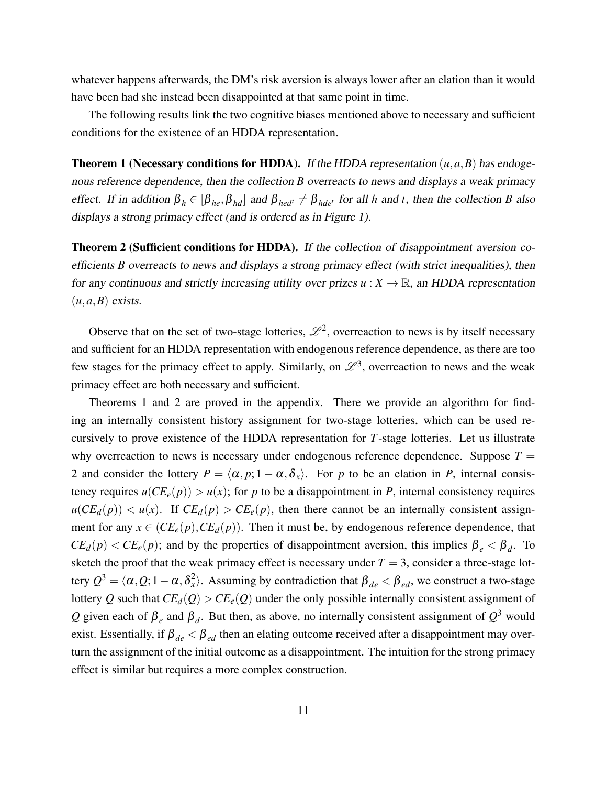whatever happens afterwards, the DM's risk aversion is always lower after an elation than it would have been had she instead been disappointed at that same point in time.

The following results link the two cognitive biases mentioned above to necessary and sufficient conditions for the existence of an HDDA representation.

**Theorem 1 (Necessary conditions for HDDA).** If the HDDA representation  $(u, a, B)$  has endogenous reference dependence, then the collection *B* overreacts to news and displays a weak primacy effect. If in addition  $\beta_h \in [\beta_{he}, \beta_{hd}]$  and  $\beta_{hed^t} \neq \beta_{hde^t}$  for all *h* and *t*, then the collection *B* also displays a strong primacy effect (and is ordered as in Figure 1).

Theorem 2 (Sufficient conditions for HDDA). If the collection of disappointment aversion coefficients *B* overreacts to news and displays a strong primacy effect (with strict inequalities), then for any continuous and strictly increasing utility over prizes  $u : X \to \mathbb{R}$ , an HDDA representation  $(u, a, B)$  exists.

Observe that on the set of two-stage lotteries,  $\mathscr{L}^2$ , overreaction to news is by itself necessary and sufficient for an HDDA representation with endogenous reference dependence, as there are too few stages for the primacy effect to apply. Similarly, on  $\mathscr{L}^3$ , overreaction to news and the weak primacy effect are both necessary and sufficient.

Theorems 1 and 2 are proved in the appendix. There we provide an algorithm for finding an internally consistent history assignment for two-stage lotteries, which can be used recursively to prove existence of the HDDA representation for *T*-stage lotteries. Let us illustrate why overreaction to news is necessary under endogenous reference dependence. Suppose  $T =$ 2 and consider the lottery  $P = \langle \alpha, p; 1 - \alpha, \delta_x \rangle$ . For *p* to be an elation in *P*, internal consistency requires  $u(CE_e(p)) > u(x)$ ; for *p* to be a disappointment in *P*, internal consistency requires  $u(CE_d(p)) < u(x)$ . If  $CE_d(p) > CE_e(p)$ , then there cannot be an internally consistent assignment for any  $x \in (CE_e(p), CE_d(p))$ . Then it must be, by endogenous reference dependence, that  $CE_d(p) < CE_e(p)$ ; and by the properties of disappointment aversion, this implies  $\beta_e < \beta_d$ . To sketch the proof that the weak primacy effect is necessary under  $T = 3$ , consider a three-stage lottery  $Q^3 = \langle \alpha, Q; 1-\alpha, \delta^2_{\alpha} \rangle$  $\alpha$ <sup>2</sup>). Assuming by contradiction that  $β_{de} < β_{ed}$ , we construct a two-stage lottery *Q* such that  $CE_d(Q) > CE_e(Q)$  under the only possible internally consistent assignment of *Q* given each of  $\beta_e$  and  $\beta_d$ . But then, as above, no internally consistent assignment of  $Q^3$  would exist. Essentially, if  $\beta_{de} < \beta_{ed}$  then an elating outcome received after a disappointment may overturn the assignment of the initial outcome as a disappointment. The intuition for the strong primacy effect is similar but requires a more complex construction.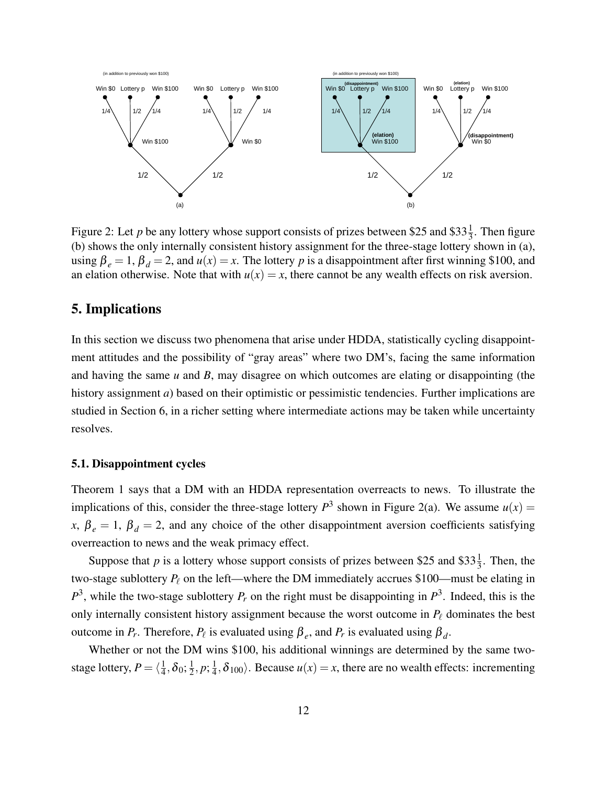

Figure 2: Let *p* be any lottery whose support consists of prizes between \$25 and \$33 $\frac{1}{3}$ . Then figure (b) shows the only internally consistent history assignment for the three-stage lottery shown in (a), using  $\beta_e = 1$ ,  $\beta_d = 2$ , and  $u(x) = x$ . The lottery p is a disappointment after first winning \$100, and an elation otherwise. Note that with  $u(x) = x$ , there cannot be any wealth effects on risk aversion.

## 5. Implications

In this section we discuss two phenomena that arise under HDDA, statistically cycling disappointment attitudes and the possibility of "gray areas" where two DM's, facing the same information and having the same *u* and *B*, may disagree on which outcomes are elating or disappointing (the history assignment *a*) based on their optimistic or pessimistic tendencies. Further implications are studied in Section 6, in a richer setting where intermediate actions may be taken while uncertainty resolves.

#### 5.1. Disappointment cycles

Theorem 1 says that a DM with an HDDA representation overreacts to news. To illustrate the implications of this, consider the three-stage lottery  $P^3$  shown in Figure 2(a). We assume  $u(x) =$ *x*,  $\beta_e = 1$ ,  $\beta_d = 2$ , and any choice of the other disappointment aversion coefficients satisfying overreaction to news and the weak primacy effect.

Suppose that *p* is a lottery whose support consists of prizes between \$25 and \$33 $\frac{1}{3}$ . Then, the two-stage sublottery  $P_\ell$  on the left—where the DM immediately accrues \$100—must be elating in  $P^3$ , while the two-stage sublottery  $P_r$  on the right must be disappointing in  $P^3$ . Indeed, this is the only internally consistent history assignment because the worst outcome in  $P_\ell$  dominates the best outcome in *P<sub>r</sub>*. Therefore, *P*<sup>*e*</sup> is evaluated using  $β_e$ , and *P<sub>r</sub>* is evaluated using  $β_d$ .

Whether or not the DM wins \$100, his additional winnings are determined by the same twostage lottery,  $P = \langle \frac{1}{4} \rangle$  $\frac{1}{4}$ ,  $\delta_0$ ;  $\frac{1}{2}$  $\frac{1}{2}, p; \frac{1}{4}$  $\frac{1}{4}$ ,  $\delta_{100}$ ). Because  $u(x) = x$ , there are no wealth effects: incrementing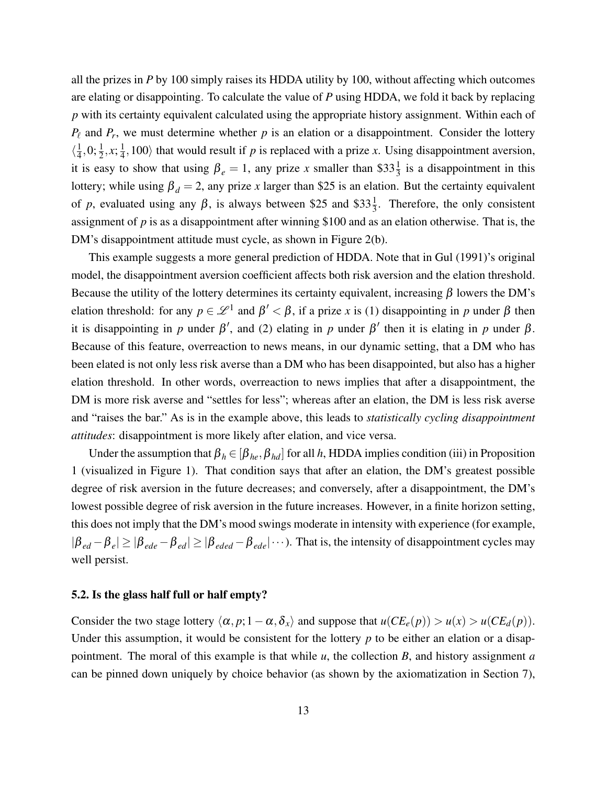all the prizes in *P* by 100 simply raises its HDDA utility by 100, without affecting which outcomes are elating or disappointing. To calculate the value of *P* using HDDA, we fold it back by replacing *p* with its certainty equivalent calculated using the appropriate history assignment. Within each of  $P_\ell$  and  $P_r$ , we must determine whether  $p$  is an elation or a disappointment. Consider the lottery  $\langle \frac{1}{4}$  $\frac{1}{4}$ , 0;  $\frac{1}{2}$ , x;  $\frac{1}{4}$  $\frac{1}{4}$ , 100) that would result if *p* is replaced with a prize *x*. Using disappointment aversion, it is easy to show that using  $\beta_e = 1$ , any prize *x* smaller than \$33 $\frac{1}{3}$  is a disappointment in this lottery; while using  $\beta_d = 2$ , any prize *x* larger than \$25 is an elation. But the certainty equivalent of *p*, evaluated using any  $\beta$ , is always between \$25 and \$33 $\frac{1}{3}$ . Therefore, the only consistent assignment of *p* is as a disappointment after winning \$100 and as an elation otherwise. That is, the DM's disappointment attitude must cycle, as shown in Figure 2(b).

This example suggests a more general prediction of HDDA. Note that in Gul (1991)'s original model, the disappointment aversion coefficient affects both risk aversion and the elation threshold. Because the utility of the lottery determines its certainty equivalent, increasing  $\beta$  lowers the DM's elation threshold: for any  $p \in \mathcal{L}^1$  and  $\beta' < \beta$ , if a prize x is (1) disappointing in p under  $\beta$  then it is disappointing in *p* under  $\beta'$ , and (2) elating in *p* under  $\beta'$  then it is elating in *p* under  $\beta$ . Because of this feature, overreaction to news means, in our dynamic setting, that a DM who has been elated is not only less risk averse than a DM who has been disappointed, but also has a higher elation threshold. In other words, overreaction to news implies that after a disappointment, the DM is more risk averse and "settles for less"; whereas after an elation, the DM is less risk averse and "raises the bar." As is in the example above, this leads to *statistically cycling disappointment attitudes*: disappointment is more likely after elation, and vice versa.

Under the assumption that  $\beta_h \in [\beta_{he}, \beta_{hd}]$  for all *h*, HDDA implies condition (iii) in Proposition 1 (visualized in Figure 1). That condition says that after an elation, the DM's greatest possible degree of risk aversion in the future decreases; and conversely, after a disappointment, the DM's lowest possible degree of risk aversion in the future increases. However, in a finite horizon setting, this does not imply that the DM's mood swings moderate in intensity with experience (for example,  $|\beta_{ed} - \beta_e| \ge |\beta_{ede} - \beta_{ed}| \ge |\beta_{eded} - \beta_{ed} - \cdots|$ . That is, the intensity of disappointment cycles may well persist.

#### 5.2. Is the glass half full or half empty?

Consider the two stage lottery  $\langle \alpha, p; 1 - \alpha, \delta_x \rangle$  and suppose that  $u(CE_e(p)) > u(x) > u(CE_d(p))$ . Under this assumption, it would be consistent for the lottery *p* to be either an elation or a disappointment. The moral of this example is that while *u*, the collection *B*, and history assignment *a* can be pinned down uniquely by choice behavior (as shown by the axiomatization in Section 7),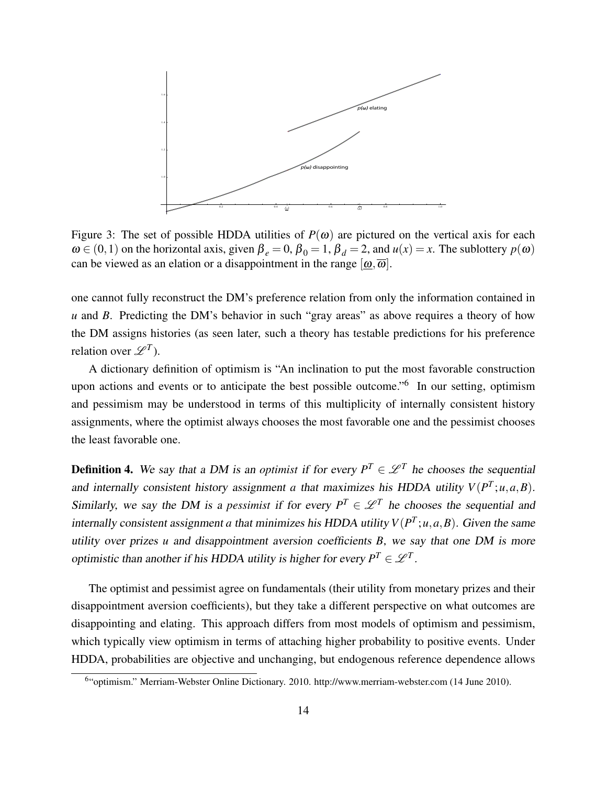

Figure 3: The set of possible HDDA utilities of  $P(\omega)$  are pictured on the vertical axis for each  $\omega \in (0,1)$  on the horizontal axis, given  $\beta_e = 0$ ,  $\beta_0 = 1$ ,  $\beta_d = 2$ , and  $u(x) = x$ . The sublottery  $p(\omega)$ can be viewed as an elation or a disappointment in the range  $[\omega,\overline{\omega}]$ .

one cannot fully reconstruct the DM's preference relation from only the information contained in *u* and *B*. Predicting the DM's behavior in such "gray areas" as above requires a theory of how the DM assigns histories (as seen later, such a theory has testable predictions for his preference relation over  $\mathscr{L}^T$ ).

A dictionary definition of optimism is "An inclination to put the most favorable construction upon actions and events or to anticipate the best possible outcome."<sup>6</sup> In our setting, optimism and pessimism may be understood in terms of this multiplicity of internally consistent history assignments, where the optimist always chooses the most favorable one and the pessimist chooses the least favorable one.

**Definition 4.** We say that a DM is an *optimist* if for every  $P^T \in \mathcal{L}^T$  he chooses the sequential and internally consistent history assignment *a* that maximizes his HDDA utility  $V(P^T; u, a, B)$ . Similarly, we say the DM is a *pessimist* if for every  $P^T \in \mathcal{L}^T$  he chooses the sequential and internally consistent assignment *a* that minimizes his HDDA utility  $V(P^T; u, a, B)$ . Given the same utility over prizes *u* and disappointment aversion coefficients *B*, we say that one DM is more optimistic than another if his HDDA utility is higher for every  $P^T \in \mathcal{L}^T$ .

The optimist and pessimist agree on fundamentals (their utility from monetary prizes and their disappointment aversion coefficients), but they take a different perspective on what outcomes are disappointing and elating. This approach differs from most models of optimism and pessimism, which typically view optimism in terms of attaching higher probability to positive events. Under HDDA, probabilities are objective and unchanging, but endogenous reference dependence allows

<sup>&</sup>lt;sup>6</sup>"optimism." Merriam-Webster Online Dictionary. 2010. http://www.merriam-webster.com (14 June 2010).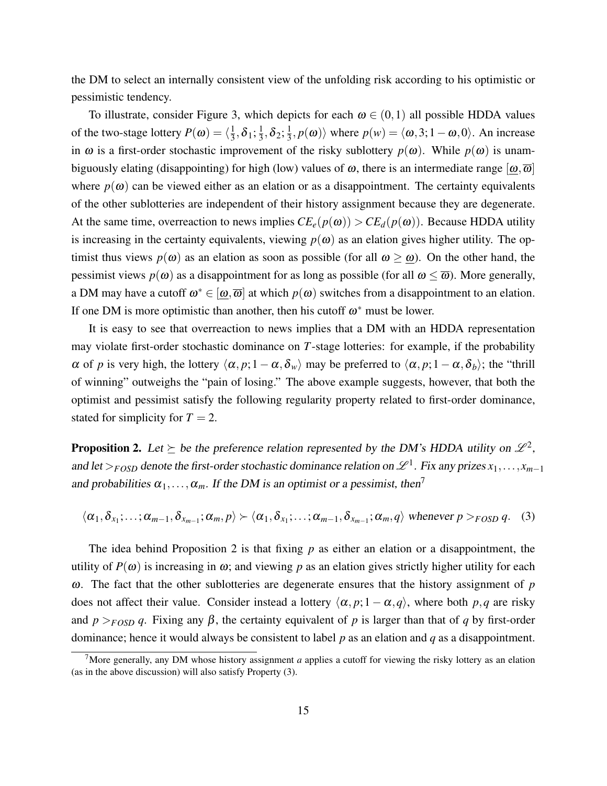the DM to select an internally consistent view of the unfolding risk according to his optimistic or pessimistic tendency.

To illustrate, consider Figure 3, which depicts for each  $\omega \in (0,1)$  all possible HDDA values of the two-stage lottery  $P(\omega) = \langle \frac{1}{3} \rangle$  $\frac{1}{3}, \delta_1; \frac{1}{3}$  $\frac{1}{3}, \delta_2; \frac{1}{3}$  $\frac{1}{3}$ ,  $p(\boldsymbol{\omega})$  where  $p(w) = \langle \boldsymbol{\omega}, 3; 1-\boldsymbol{\omega}, 0 \rangle$ . An increase in  $\omega$  is a first-order stochastic improvement of the risky sublottery  $p(\omega)$ . While  $p(\omega)$  is unambiguously elating (disappointing) for high (low) values of  $\omega$ , there is an intermediate range  $[\omega,\overline{\omega}]$ where  $p(\omega)$  can be viewed either as an elation or as a disappointment. The certainty equivalents of the other sublotteries are independent of their history assignment because they are degenerate. At the same time, overreaction to news implies  $CE_e(p(\omega)) > CE_d(p(\omega))$ . Because HDDA utility is increasing in the certainty equivalents, viewing  $p(\omega)$  as an elation gives higher utility. The optimist thus views  $p(\omega)$  as an elation as soon as possible (for all  $\omega \geq \omega$ ). On the other hand, the pessimist views  $p(\omega)$  as a disappointment for as long as possible (for all  $\omega \leq \overline{\omega}$ ). More generally, a DM may have a cutoff  $\omega^* \in [\omega, \overline{\omega}]$  at which  $p(\omega)$  switches from a disappointment to an elation. If one DM is more optimistic than another, then his cutoff  $\omega^*$  must be lower.

It is easy to see that overreaction to news implies that a DM with an HDDA representation may violate first-order stochastic dominance on *T*-stage lotteries: for example, if the probability  $\alpha$  of *p* is very high, the lottery  $\langle \alpha, p; 1 - \alpha, \delta_w \rangle$  may be preferred to  $\langle \alpha, p; 1 - \alpha, \delta_b \rangle$ ; the "thrill" of winning" outweighs the "pain of losing." The above example suggests, however, that both the optimist and pessimist satisfy the following regularity property related to first-order dominance, stated for simplicity for  $T = 2$ .

**Proposition 2.** Let  $\succeq$  be the preference relation represented by the DM's HDDA utility on  $\mathcal{L}^2$ , and let >*F*<sub>OSD</sub> denote the first-order stochastic dominance relation on  $\mathcal{L}^1$ . Fix any prizes  $x_1, \ldots, x_{m-1}$ and probabilities  $\alpha_1, \ldots, \alpha_m$ . If the DM is an optimist or a pessimist, then<sup>7</sup>

$$
\langle \alpha_1, \delta_{x_1}; \ldots; \alpha_{m-1}, \delta_{x_{m-1}}; \alpha_m, p \rangle \succ \langle \alpha_1, \delta_{x_1}; \ldots; \alpha_{m-1}, \delta_{x_{m-1}}; \alpha_m, q \rangle \text{ whenever } p >_{FOSD} q. \quad (3)
$$

The idea behind Proposition 2 is that fixing *p* as either an elation or a disappointment, the utility of  $P(\omega)$  is increasing in  $\omega$ ; and viewing p as an elation gives strictly higher utility for each ω. The fact that the other sublotteries are degenerate ensures that the history assignment of *p* does not affect their value. Consider instead a lottery  $\langle \alpha, p; 1 - \alpha, q \rangle$ , where both *p*,*q* are risky and  $p >_{FOSD} q$ . Fixing any  $\beta$ , the certainty equivalent of *p* is larger than that of *q* by first-order dominance; hence it would always be consistent to label *p* as an elation and *q* as a disappointment.

<sup>7</sup>More generally, any DM whose history assignment *a* applies a cutoff for viewing the risky lottery as an elation (as in the above discussion) will also satisfy Property (3).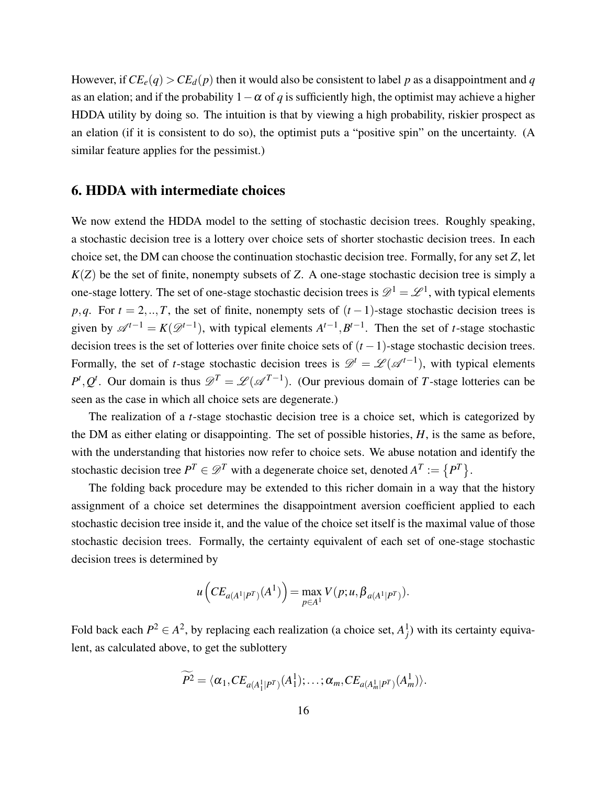However, if  $CE_e(q) > CE_d(p)$  then it would also be consistent to label p as a disappointment and q as an elation; and if the probability  $1-\alpha$  of q is sufficiently high, the optimist may achieve a higher HDDA utility by doing so. The intuition is that by viewing a high probability, riskier prospect as an elation (if it is consistent to do so), the optimist puts a "positive spin" on the uncertainty. (A similar feature applies for the pessimist.)

## 6. HDDA with intermediate choices

We now extend the HDDA model to the setting of stochastic decision trees. Roughly speaking, a stochastic decision tree is a lottery over choice sets of shorter stochastic decision trees. In each choice set, the DM can choose the continuation stochastic decision tree. Formally, for any set *Z*, let  $K(Z)$  be the set of finite, nonempty subsets of *Z*. A one-stage stochastic decision tree is simply a one-stage lottery. The set of one-stage stochastic decision trees is  $\mathscr{D}^1 = \mathscr{L}^1$ , with typical elements *p*,*q*. For  $t = 2, \ldots, T$ , the set of finite, nonempty sets of  $(t-1)$ -stage stochastic decision trees is given by  $\mathscr{A}^{t-1} = K(\mathscr{D}^{t-1})$ , with typical elements  $A^{t-1}, B^{t-1}$ . Then the set of *t*-stage stochastic decision trees is the set of lotteries over finite choice sets of (*t* −1)-stage stochastic decision trees. Formally, the set of *t*-stage stochastic decision trees is  $\mathscr{D}^t = \mathscr{L}(\mathscr{A}^{t-1})$ , with typical elements  $P^t, Q^t$ . Our domain is thus  $\mathscr{D}^T = \mathscr{L}(\mathscr{A}^{T-1})$ . (Our previous domain of *T*-stage lotteries can be seen as the case in which all choice sets are degenerate.)

The realization of a *t*-stage stochastic decision tree is a choice set, which is categorized by the DM as either elating or disappointing. The set of possible histories, *H*, is the same as before, with the understanding that histories now refer to choice sets. We abuse notation and identify the stochastic decision tree  $P^T \in \mathcal{D}^T$  with a degenerate choice set, denoted  $A^T := \{P^T\}.$ 

The folding back procedure may be extended to this richer domain in a way that the history assignment of a choice set determines the disappointment aversion coefficient applied to each stochastic decision tree inside it, and the value of the choice set itself is the maximal value of those stochastic decision trees. Formally, the certainty equivalent of each set of one-stage stochastic decision trees is determined by

$$
u\left(CE_{a(A^1|P^T)}(A^1)\right) = \max_{p \in A^1} V(p; u, \beta_{a(A^1|P^T)}).
$$

Fold back each  $P^2 \in A^2$ , by replacing each realization (a choice set,  $A_j^1$ ) with its certainty equivalent, as calculated above, to get the sublottery

$$
\widetilde{P^2} = \langle \alpha_1, CE_{a(A_1^1|P^T)}(A_1^1); \ldots; \alpha_m, CE_{a(A_m^1|P^T)}(A_m^1)\rangle.
$$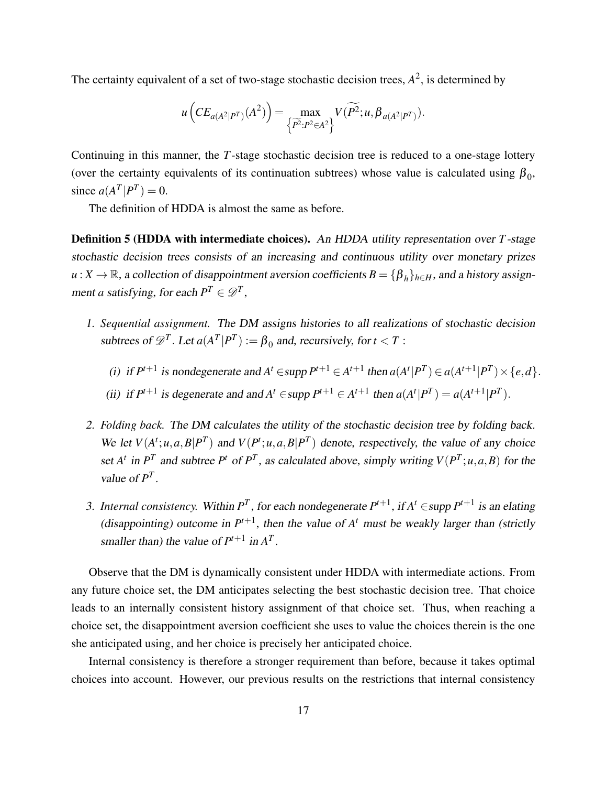The certainty equivalent of a set of two-stage stochastic decision trees,  $A^2$ , is determined by

$$
u\left(CE_{a(A^2|P^T)}(A^2)\right) = \max_{\left\{\widetilde{P^2}:P^2\in A^2\right\}} V(\widetilde{P^2};u,\beta_{a(A^2|P^T)}).
$$

Continuing in this manner, the *T*-stage stochastic decision tree is reduced to a one-stage lottery (over the certainty equivalents of its continuation subtrees) whose value is calculated using  $\beta_0$ , since  $a(A^T | P^T) = 0$ .

The definition of HDDA is almost the same as before.

Definition 5 (HDDA with intermediate choices). An HDDA utility representation over *T*-stage stochastic decision trees consists of an increasing and continuous utility over monetary prizes  $u: X \to \mathbb{R}$ , a collection of disappointment aversion coefficients  $B = \{\beta_h\}_{h \in H}$ , and a history assignment *a* satisfying, for each  $P^T \in \mathcal{D}^T$ ,

- 1. *Sequential assignment.* The DM assigns histories to all realizations of stochastic decision subtrees of  $\mathscr{D}^T$ . Let  $a(A^T | P^T) := \beta_0$  and, recursively, for  $t < T$ :
	- (i) if  $P^{t+1}$  is nondegenerate and  $A^t \in \text{supp } P^{t+1} \in A^{t+1}$  then  $a(A^t|P^T) \in a(A^{t+1}|P^T) \times \{e,d\}.$ (ii) if  $P^{t+1}$  is degenerate and and  $A^t \in \text{supp } P^{t+1} \in A^{t+1}$  then  $a(A^t | P^T) = a(A^{t+1} | P^T)$ .
- 2. *Folding back.* The DM calculates the utility of the stochastic decision tree by folding back. We let  $V(A^t; u, a, B | P^T)$  and  $V(P^t; u, a, B | P^T)$  denote, respectively, the value of any choice set *A*<sup>t</sup> in  $P^T$  and subtree  $P^t$  of  $P^T$ , as calculated above, simply writing  $V(P^T; u, a, B)$  for the value of  $P<sup>T</sup>$ .
- 3. *Internal consistency.* Within  $P<sup>T</sup>$ , for each nondegenerate  $P<sup>t+1</sup>$ , if  $A<sup>t</sup> \in supp P<sup>t+1</sup>$  is an elating (disappointing) outcome in  $P^{t+1}$ , then the value of  $A^t$  must be weakly larger than (strictly smaller than) the value of  $P^{t+1}$  in  $A^T$ .

Observe that the DM is dynamically consistent under HDDA with intermediate actions. From any future choice set, the DM anticipates selecting the best stochastic decision tree. That choice leads to an internally consistent history assignment of that choice set. Thus, when reaching a choice set, the disappointment aversion coefficient she uses to value the choices therein is the one she anticipated using, and her choice is precisely her anticipated choice.

Internal consistency is therefore a stronger requirement than before, because it takes optimal choices into account. However, our previous results on the restrictions that internal consistency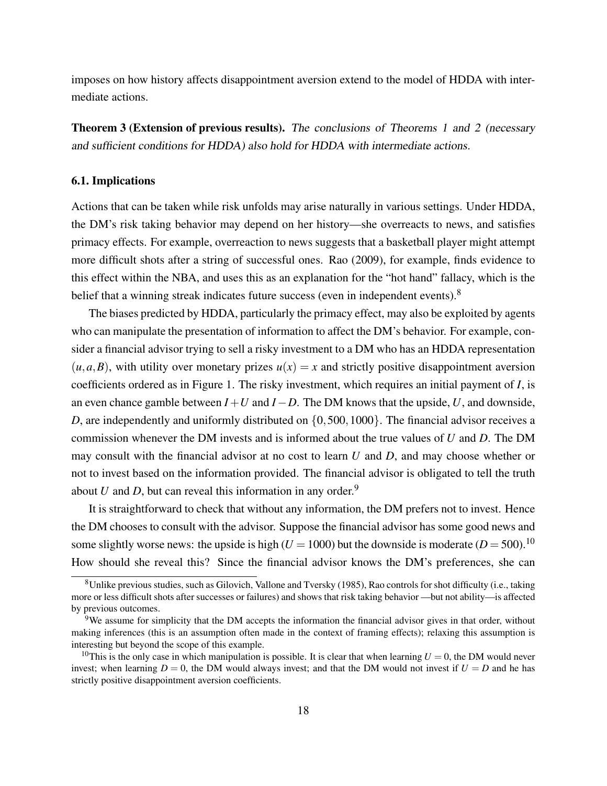imposes on how history affects disappointment aversion extend to the model of HDDA with intermediate actions.

Theorem 3 (Extension of previous results). The conclusions of Theorems 1 and 2 (necessary and sufficient conditions for HDDA) also hold for HDDA with intermediate actions.

#### 6.1. Implications

Actions that can be taken while risk unfolds may arise naturally in various settings. Under HDDA, the DM's risk taking behavior may depend on her history—she overreacts to news, and satisfies primacy effects. For example, overreaction to news suggests that a basketball player might attempt more difficult shots after a string of successful ones. Rao (2009), for example, finds evidence to this effect within the NBA, and uses this as an explanation for the "hot hand" fallacy, which is the belief that a winning streak indicates future success (even in independent events).<sup>8</sup>

The biases predicted by HDDA, particularly the primacy effect, may also be exploited by agents who can manipulate the presentation of information to affect the DM's behavior. For example, consider a financial advisor trying to sell a risky investment to a DM who has an HDDA representation  $(u, a, B)$ , with utility over monetary prizes  $u(x) = x$  and strictly positive disappointment aversion coefficients ordered as in Figure 1. The risky investment, which requires an initial payment of *I*, is an even chance gamble between  $I + U$  and  $I - D$ . The DM knows that the upside, *U*, and downside, *D*, are independently and uniformly distributed on  $\{0, 500, 1000\}$ . The financial advisor receives a commission whenever the DM invests and is informed about the true values of *U* and *D*. The DM may consult with the financial advisor at no cost to learn *U* and *D*, and may choose whether or not to invest based on the information provided. The financial advisor is obligated to tell the truth about *U* and *D*, but can reveal this information in any order.<sup>9</sup>

It is straightforward to check that without any information, the DM prefers not to invest. Hence the DM chooses to consult with the advisor. Suppose the financial advisor has some good news and some slightly worse news: the upside is high ( $U = 1000$ ) but the downside is moderate ( $D = 500$ ).<sup>10</sup> How should she reveal this? Since the financial advisor knows the DM's preferences, she can

<sup>8</sup>Unlike previous studies, such as Gilovich, Vallone and Tversky (1985), Rao controls for shot difficulty (i.e., taking more or less difficult shots after successes or failures) and shows that risk taking behavior —but not ability—is affected by previous outcomes.

<sup>&</sup>lt;sup>9</sup>We assume for simplicity that the DM accepts the information the financial advisor gives in that order, without making inferences (this is an assumption often made in the context of framing effects); relaxing this assumption is interesting but beyond the scope of this example.

<sup>&</sup>lt;sup>10</sup>This is the only case in which manipulation is possible. It is clear that when learning  $U = 0$ , the DM would never invest; when learning  $D = 0$ , the DM would always invest; and that the DM would not invest if  $U = D$  and he has strictly positive disappointment aversion coefficients.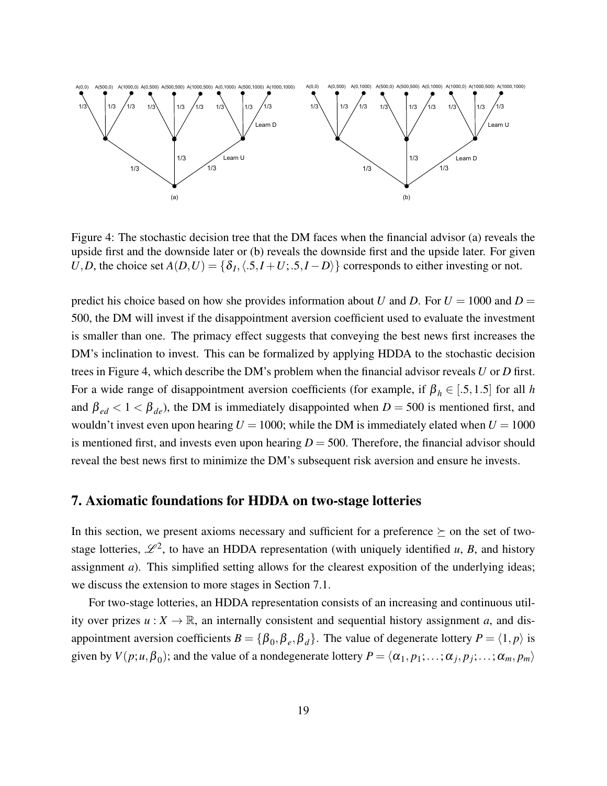

Figure 4: The stochastic decision tree that the DM faces when the financial advisor (a) reveals the upside first and the downside later or (b) reveals the downside first and the upside later. For given *U*,*D*, the choice set  $A(D, U) = \{\delta_I, \langle .5, I + U, .5, I - D \rangle\}$  corresponds to either investing or not.

predict his choice based on how she provides information about *U* and *D*. For  $U = 1000$  and  $D =$ 500, the DM will invest if the disappointment aversion coefficient used to evaluate the investment is smaller than one. The primacy effect suggests that conveying the best news first increases the DM's inclination to invest. This can be formalized by applying HDDA to the stochastic decision trees in Figure 4, which describe the DM's problem when the financial advisor reveals *U* or *D* first. For a wide range of disappointment aversion coefficients (for example, if  $\beta_h \in [.5,1.5]$  for all *h* and  $\beta_{ed} < 1 < \beta_{de}$ ), the DM is immediately disappointed when  $D = 500$  is mentioned first, and wouldn't invest even upon hearing  $U = 1000$ ; while the DM is immediately elated when  $U = 1000$ is mentioned first, and invests even upon hearing  $D = 500$ . Therefore, the financial advisor should reveal the best news first to minimize the DM's subsequent risk aversion and ensure he invests.

## 7. Axiomatic foundations for HDDA on two-stage lotteries

In this section, we present axioms necessary and sufficient for a preference  $\succeq$  on the set of twostage lotteries,  $\mathscr{L}^2$ , to have an HDDA representation (with uniquely identified *u*, *B*, and history assignment *a*). This simplified setting allows for the clearest exposition of the underlying ideas; we discuss the extension to more stages in Section 7.1.

For two-stage lotteries, an HDDA representation consists of an increasing and continuous utility over prizes  $u: X \to \mathbb{R}$ , an internally consistent and sequential history assignment *a*, and disappointment aversion coefficients  $B = \{\beta_0, \beta_e, \beta_d\}$ . The value of degenerate lottery  $P = \langle 1, p \rangle$  is given by  $V(p; u, \beta_0)$ ; and the value of a nondegenerate lottery  $P = \langle \alpha_1, p_1; \dots; \alpha_j, p_j; \dots; \alpha_m, p_m \rangle$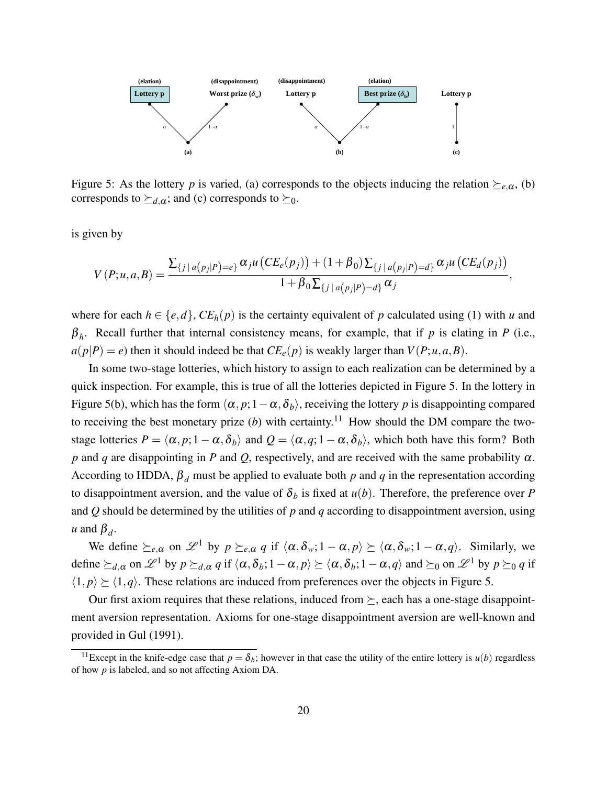

Figure 5: As the lottery *p* is varied, (a) corresponds to the objects inducing the relation  $\succeq_{e,\alpha}$ , (b) corresponds to  $\succeq_{d,\alpha}$ ; and (c) corresponds to  $\succeq_0$ .

is given by

$$
V(P;u,a,B) = \frac{\sum_{\{j \mid a(p_j|P)=e\}} \alpha_{j} u (CE_e(p_j)) + (1+\beta_0) \sum_{\{j \mid a(p_j|P)=d\}} \alpha_{j} u (CE_d(p_j))}{1+\beta_0 \sum_{\{j \mid a(p_j|P)=d\}} \alpha_{j}},
$$

where for each  $h \in \{e, d\}$ ,  $CE_h(p)$  is the certainty equivalent of p calculated using (1) with *u* and  $\beta_h$ . Recall further that internal consistency means, for example, that if *p* is elating in *P* (i.e.,  $a(p|P) = e$ ) then it should indeed be that  $CE_e(p)$  is weakly larger than  $V(P;u,a,B)$ .

In some two-stage lotteries, which history to assign to each realization can be determined by a quick inspection. For example, this is true of all the lotteries depicted in Figure 5. In the lottery in Figure 5(b), which has the form  $\langle \alpha, p; 1-\alpha, \delta_b \rangle$ , receiving the lottery *p* is disappointing compared to receiving the best monetary prize  $(b)$  with certainty.<sup>11</sup> How should the DM compare the twostage lotteries  $P = \langle \alpha, p; 1 - \alpha, \delta_b \rangle$  and  $Q = \langle \alpha, q; 1 - \alpha, \delta_b \rangle$ , which both have this form? Both *p* and *q* are disappointing in *P* and *Q*, respectively, and are received with the same probability  $\alpha$ . According to HDDA,  $\beta_d$  must be applied to evaluate both p and q in the representation according to disappointment aversion, and the value of  $\delta_b$  is fixed at  $u(b)$ . Therefore, the preference over *P* and *Q* should be determined by the utilities of *p* and *q* according to disappointment aversion, using  $u$  and  $\beta_d$ .

We define  $\succeq_{e,\alpha}$  on  $\mathscr{L}^1$  by  $p \succeq_{e,\alpha} q$  if  $\langle \alpha, \delta_w; 1 - \alpha, p \rangle \succeq \langle \alpha, \delta_w; 1 - \alpha, q \rangle$ . Similarly, we define  $\succeq_{d,\alpha}$  on  $\mathscr{L}^1$  by  $p \succeq_{d,\alpha} q$  if  $\langle \alpha, \delta_b; 1-\alpha, p \rangle \succeq \langle \alpha, \delta_b; 1-\alpha, q \rangle$  and  $\succeq_0$  on  $\mathscr{L}^1$  by  $p \succeq_0 q$  if  $\langle 1, p \rangle \ge \langle 1, q \rangle$ . These relations are induced from preferences over the objects in Figure 5.

Our first axiom requires that these relations, induced from  $\succeq$ , each has a one-stage disappointment aversion representation. Axioms for one-stage disappointment aversion are well-known and provided in Gul (1991).

<sup>&</sup>lt;sup>11</sup>Except in the knife-edge case that  $p = \delta_b$ ; however in that case the utility of the entire lottery is  $u(b)$  regardless of how *p* is labeled, and so not affecting Axiom DA.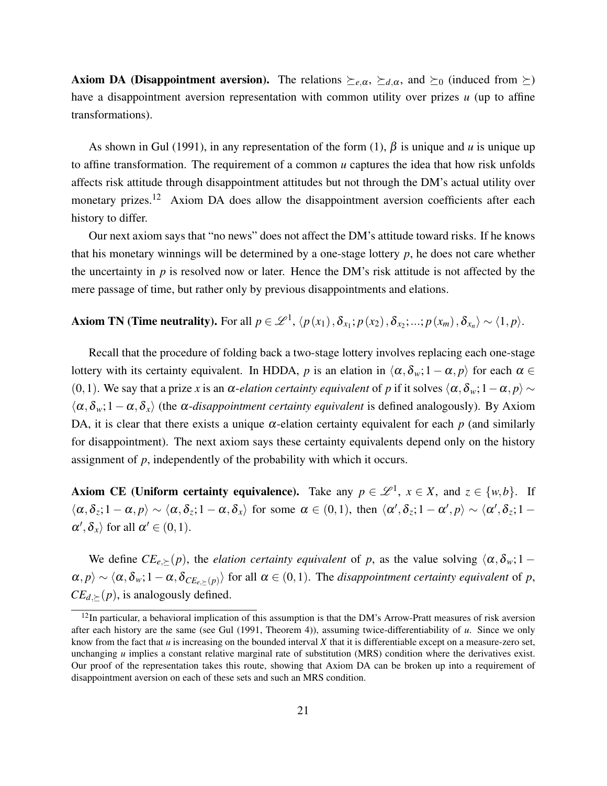**Axiom DA (Disappointment aversion).** The relations  $\succeq_{e,\alpha}$ ,  $\succeq_{d,\alpha}$ , and  $\succeq_0$  (induced from  $\succeq$ ) have a disappointment aversion representation with common utility over prizes *u* (up to affine transformations).

As shown in Gul (1991), in any representation of the form (1),  $\beta$  is unique and *u* is unique up to affine transformation. The requirement of a common *u* captures the idea that how risk unfolds affects risk attitude through disappointment attitudes but not through the DM's actual utility over monetary prizes.<sup>12</sup> Axiom DA does allow the disappointment aversion coefficients after each history to differ.

Our next axiom says that "no news" does not affect the DM's attitude toward risks. If he knows that his monetary winnings will be determined by a one-stage lottery *p*, he does not care whether the uncertainty in *p* is resolved now or later. Hence the DM's risk attitude is not affected by the mere passage of time, but rather only by previous disappointments and elations.

Axiom TN (Time neutrality). For all  $p \in \mathscr{L}^1$ ,  $\langle p(x_1), \delta_{x_1}; p(x_2), \delta_{x_2}; ...; p(x_m), \delta_{x_n} \rangle \sim \langle 1, p \rangle$ .

Recall that the procedure of folding back a two-stage lottery involves replacing each one-stage lottery with its certainty equivalent. In HDDA, *p* is an elation in  $\langle \alpha, \delta_w; 1 - \alpha, p \rangle$  for each  $\alpha \in$ (0,1). We say that a prize *x* is an  $\alpha$ -*elation certainty equivalent* of *p* if it solves  $\langle \alpha, \delta_w; 1-\alpha, p \rangle \sim$  $\langle \alpha, \delta_w; 1-\alpha, \delta_x \rangle$  (the  $\alpha$ -*disappointment certainty equivalent* is defined analogously). By Axiom DA, it is clear that there exists a unique  $\alpha$ -elation certainty equivalent for each *p* (and similarly for disappointment). The next axiom says these certainty equivalents depend only on the history assignment of *p*, independently of the probability with which it occurs.

Axiom CE (Uniform certainty equivalence). Take any  $p \in \mathcal{L}^1$ ,  $x \in X$ , and  $z \in \{w, b\}$ . If  $\langle \alpha, \delta_z; 1 - \alpha, p \rangle \sim \langle \alpha, \delta_z; 1 - \alpha, \delta_x \rangle$  for some  $\alpha \in (0,1)$ , then  $\langle \alpha', \delta_z; 1 - \alpha', p \rangle \sim \langle \alpha', \delta_z; 1 - \alpha' \rangle$  $\alpha', \delta_x$  for all  $\alpha' \in (0,1)$ .

We define  $CE_{e,}(p)$ , the *elation certainty equivalent* of *p*, as the value solving  $\langle \alpha, \delta_w; 1 - \delta_w \rangle$  $\langle \alpha, p \rangle \sim \langle \alpha, \delta_w; 1-\alpha, \delta_{CE_{e,\succeq}(p)} \rangle$  for all  $\alpha \in (0,1)$ . The *disappointment certainty equivalent* of *p*,  $CE_{d,}(p)$ , is analogously defined.

 $12$ In particular, a behavioral implication of this assumption is that the DM's Arrow-Pratt measures of risk aversion after each history are the same (see Gul (1991, Theorem 4)), assuming twice-differentiability of *u*. Since we only know from the fact that  $u$  is increasing on the bounded interval  $X$  that it is differentiable except on a measure-zero set, unchanging *u* implies a constant relative marginal rate of substitution (MRS) condition where the derivatives exist. Our proof of the representation takes this route, showing that Axiom DA can be broken up into a requirement of disappointment aversion on each of these sets and such an MRS condition.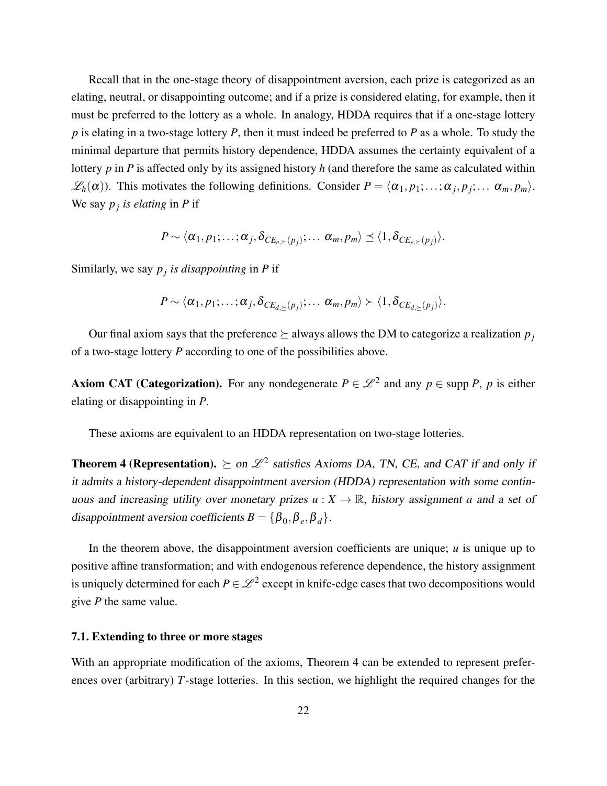Recall that in the one-stage theory of disappointment aversion, each prize is categorized as an elating, neutral, or disappointing outcome; and if a prize is considered elating, for example, then it must be preferred to the lottery as a whole. In analogy, HDDA requires that if a one-stage lottery *p* is elating in a two-stage lottery *P*, then it must indeed be preferred to *P* as a whole. To study the minimal departure that permits history dependence, HDDA assumes the certainty equivalent of a lottery *p* in *P* is affected only by its assigned history *h* (and therefore the same as calculated within  $\mathscr{L}_h(\alpha)$ ). This motivates the following definitions. Consider  $P = \langle \alpha_1, p_1; \dots; \alpha_j, p_j; \dots; \alpha_m, p_m \rangle$ . We say *p<sup>j</sup> is elating* in *P* if

$$
P \sim \langle \alpha_1, p_1; \ldots; \alpha_j, \delta_{CE_{e,\succeq}(p_j)}; \ldots \alpha_m, p_m \rangle \leq \langle 1, \delta_{CE_{e,\succeq}(p_j)} \rangle.
$$

Similarly, we say *p<sup>j</sup> is disappointing* in *P* if

$$
P \sim \langle \alpha_1, p_1; \ldots; \alpha_j, \delta_{CE_{d,\succeq}(p_j)}; \ldots \alpha_m, p_m \rangle \succ \langle 1, \delta_{CE_{d,\succeq}(p_j)} \rangle.
$$

Our final axiom says that the preference  $\succeq$  always allows the DM to categorize a realization  $p_j$ of a two-stage lottery *P* according to one of the possibilities above.

Axiom CAT (Categorization). For any nondegenerate  $P \in \mathcal{L}^2$  and any  $p \in \text{supp } P$ , p is either elating or disappointing in *P*.

These axioms are equivalent to an HDDA representation on two-stage lotteries.

**Theorem 4 (Representation).**  $\succeq$  on  $\mathcal{L}^2$  satisfies Axioms DA, TN, CE, and CAT if and only if it admits a history-dependent disappointment aversion (HDDA) representation with some continuous and increasing utility over monetary prizes  $u : X \to \mathbb{R}$ , history assignment *a* and *a* set of disappointment aversion coefficients  $B = {\beta_0, \beta_e, \beta_d}.$ 

In the theorem above, the disappointment aversion coefficients are unique;  $u$  is unique up to positive affine transformation; and with endogenous reference dependence, the history assignment is uniquely determined for each  $P \in \mathscr{L}^2$  except in knife-edge cases that two decompositions would give *P* the same value.

#### 7.1. Extending to three or more stages

With an appropriate modification of the axioms, Theorem 4 can be extended to represent preferences over (arbitrary) *T*-stage lotteries. In this section, we highlight the required changes for the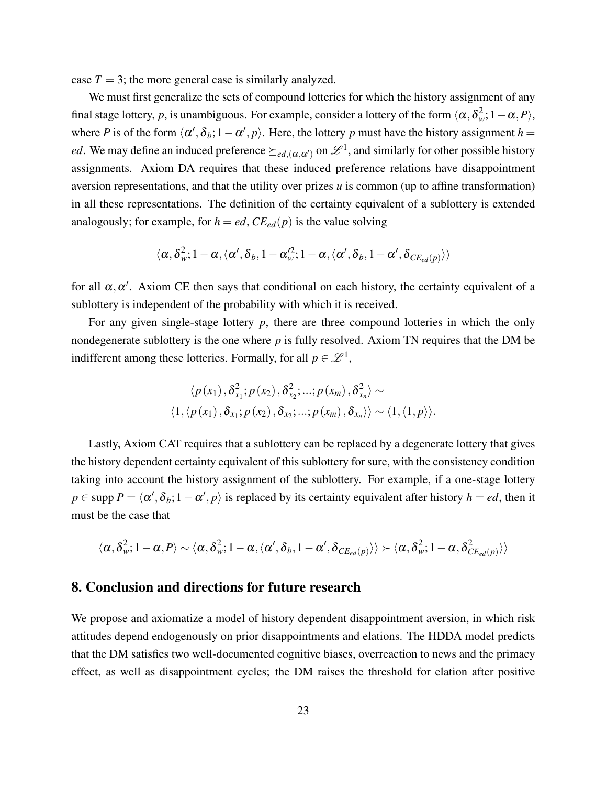case  $T = 3$ ; the more general case is similarly analyzed.

We must first generalize the sets of compound lotteries for which the history assignment of any final stage lottery, *p*, is unambiguous. For example, consider a lottery of the form  $\langle \alpha, \delta_w^2; 1-\alpha, P \rangle$ , where *P* is of the form  $\langle \alpha', \delta_b; 1 - \alpha', p \rangle$ . Here, the lottery *p* must have the history assignment *h* = *ed*. We may define an induced preference  $\succeq_{ed,(\alpha,\alpha')}$  on  $\mathscr{L}^1$ , and similarly for other possible history assignments. Axiom DA requires that these induced preference relations have disappointment aversion representations, and that the utility over prizes *u* is common (up to affine transformation) in all these representations. The definition of the certainty equivalent of a sublottery is extended analogously; for example, for  $h = ed$ ,  $CE_{ed}(p)$  is the value solving

$$
\langle \alpha, \delta_{w}^2;1-\alpha, \langle \alpha', \delta_{b}, 1-\alpha_{w}^{\prime 2}; 1-\alpha, \langle \alpha', \delta_{b}, 1-\alpha', \delta_{CE_{ed}(p)} \rangle \rangle
$$

for all  $\alpha, \alpha'$ . Axiom CE then says that conditional on each history, the certainty equivalent of a sublottery is independent of the probability with which it is received.

For any given single-stage lottery *p*, there are three compound lotteries in which the only nondegenerate sublottery is the one where *p* is fully resolved. Axiom TN requires that the DM be indifferent among these lotteries. Formally, for all  $p \in \mathcal{L}^1$ ,

$$
\langle p(x_1), \delta_{x_1}^2; p(x_2), \delta_{x_2}^2; \ldots; p(x_m), \delta_{x_n}^2 \rangle \sim
$$
  

$$
\langle 1, \langle p(x_1), \delta_{x_1}; p(x_2), \delta_{x_2}; \ldots; p(x_m), \delta_{x_n} \rangle \rangle \sim \langle 1, \langle 1, p \rangle \rangle.
$$

Lastly, Axiom CAT requires that a sublottery can be replaced by a degenerate lottery that gives the history dependent certainty equivalent of this sublottery for sure, with the consistency condition taking into account the history assignment of the sublottery. For example, if a one-stage lottery  $p \in \text{supp } P = \langle \alpha', \delta_b; 1 - \alpha', p \rangle$  is replaced by its certainty equivalent after history *h* = *ed*, then it must be the case that

$$
\langle \alpha, \delta_{\scriptscriptstyle W}^2; 1-\alpha, P\rangle \sim \langle \alpha, \delta_{\scriptscriptstyle W}^2; 1-\alpha, \langle \alpha', \delta_{\scriptscriptstyle b}, 1-\alpha', \delta_{CE_{ed}(p)}\rangle \rangle \succ \langle \alpha, \delta_{\scriptscriptstyle W}^2; 1-\alpha, \delta_{CE_{ed}(p)}^2\rangle \rangle
$$

#### 8. Conclusion and directions for future research

We propose and axiomatize a model of history dependent disappointment aversion, in which risk attitudes depend endogenously on prior disappointments and elations. The HDDA model predicts that the DM satisfies two well-documented cognitive biases, overreaction to news and the primacy effect, as well as disappointment cycles; the DM raises the threshold for elation after positive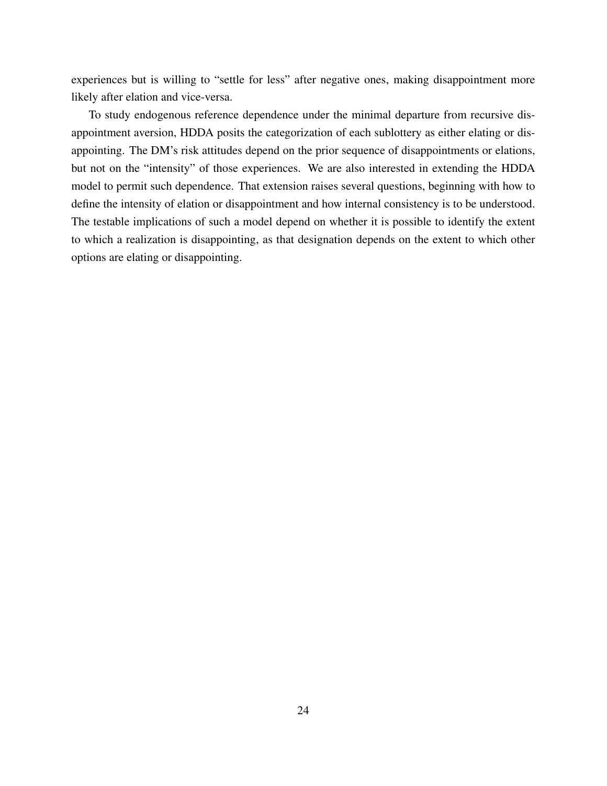experiences but is willing to "settle for less" after negative ones, making disappointment more likely after elation and vice-versa.

To study endogenous reference dependence under the minimal departure from recursive disappointment aversion, HDDA posits the categorization of each sublottery as either elating or disappointing. The DM's risk attitudes depend on the prior sequence of disappointments or elations, but not on the "intensity" of those experiences. We are also interested in extending the HDDA model to permit such dependence. That extension raises several questions, beginning with how to define the intensity of elation or disappointment and how internal consistency is to be understood. The testable implications of such a model depend on whether it is possible to identify the extent to which a realization is disappointing, as that designation depends on the extent to which other options are elating or disappointing.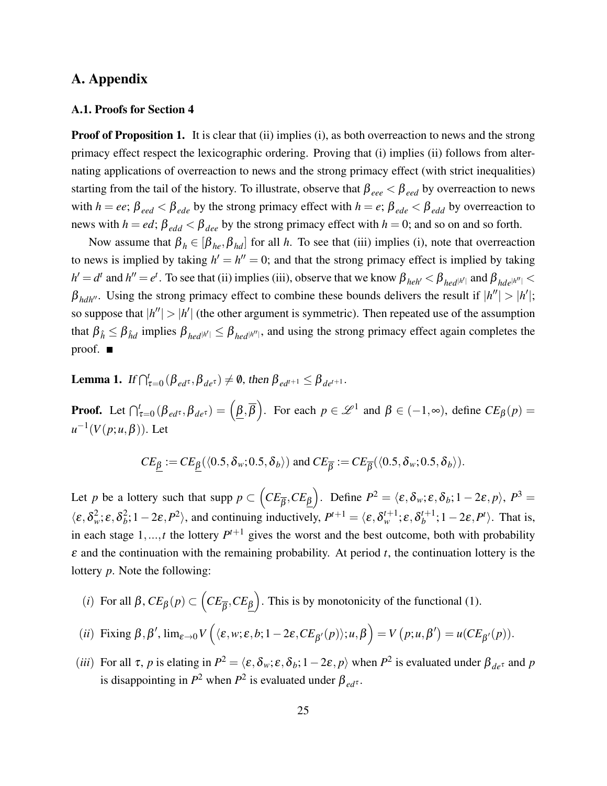## A. Appendix

#### A.1. Proofs for Section 4

**Proof of Proposition 1.** It is clear that (ii) implies (i), as both overreaction to news and the strong primacy effect respect the lexicographic ordering. Proving that (i) implies (ii) follows from alternating applications of overreaction to news and the strong primacy effect (with strict inequalities) starting from the tail of the history. To illustrate, observe that  $\beta_{eee} < \beta_{eed}$  by overreaction to news with  $h = ee$ ;  $\beta_{ed} < \beta_{ed}$  by the strong primacy effect with  $h = e$ ;  $\beta_{ed} < \beta_{ed}$  by overreaction to news with  $h = ed$ ;  $\beta_{edd} < \beta_{dee}$  by the strong primacy effect with  $h = 0$ ; and so on and so forth.

Now assume that  $\beta_h \in [\beta_{he}, \beta_{hd}]$  for all *h*. To see that (iii) implies (i), note that overreaction to news is implied by taking  $h' = h'' = 0$ ; and that the strong primacy effect is implied by taking  $h' = d^t$  and  $h'' = e^t$ . To see that (ii) implies (iii), observe that we know  $\beta_{heh'} < \beta_{hed}$ <sub>*ht*</sub> $\beta_{hde'}$  and  $\beta_{hde'}$   $\beta_{hde'}$  $\beta_{hdh''}$ . Using the strong primacy effect to combine these bounds delivers the result if  $|h''| > |h'|$ ; so suppose that  $|h''| > |h'|$  (the other argument is symmetric). Then repeated use of the assumption that  $\beta_{\hat{h}} \leq \beta_{\hat{h}d}$  implies  $\beta_{\text{hed}}|h'|\leq \beta_{\text{hed}}|h''|$ , and using the strong primacy effect again completes the proof.  $\blacksquare$ 

**Lemma 1.** If  $\bigcap_{\tau=0}^t (\beta_{ed^{\tau}}, \beta_{de^{\tau}}) \neq \emptyset$ , then  $\beta_{ed^{t+1}} \leq \beta_{de^{t+1}}$ .

**Proof.** Let  $\bigcap_{\tau=0}^{t} (\beta_{ed^{\tau}}, \beta_{de^{\tau}}) = (\underline{\beta}, \overline{\beta})$ . For each  $p \in \mathcal{L}^1$  and  $\beta \in (-1, \infty)$ , define  $CE_{\beta}(p) =$  $u^{-1}(V(p; u, \beta))$ . Let

$$
CE_{\underline{\beta}} := CE_{\underline{\beta}}(\langle 0.5, \delta_w; 0.5, \delta_b \rangle) \text{ and } CE_{\overline{\beta}} := CE_{\overline{\beta}}(\langle 0.5, \delta_w; 0.5, \delta_b \rangle).
$$

Let *p* be a lottery such that supp  $p \subset \left( CE_{\overline{\beta}}, CE_{\underline{\beta}} \right)$ . Define  $P^2 = \langle \varepsilon, \delta_w; \varepsilon, \delta_b; 1 - 2\varepsilon, p \rangle$ ,  $P^3 =$  $\langle \varepsilon, \delta_w^2; \varepsilon, \delta_b^2 \rangle$  $\partial_b^2$ ; 1 – 2 $\varepsilon$ , $P^2$ ), and continuing inductively,  $P^{t+1} = \langle \varepsilon, \delta_w^{t+1}; \varepsilon, \delta_b^{t+1} \rangle$  $b^{t+1}$ ; 1 – 2 $\varepsilon$ ,  $P^t$ ). That is, in each stage  $1, \ldots, t$  the lottery  $P^{t+1}$  gives the worst and the best outcome, both with probability  $\varepsilon$  and the continuation with the remaining probability. At period  $t$ , the continuation lottery is the lottery *p*. Note the following:

(*i*) For all 
$$
\beta
$$
,  $CE_{\beta}(p) \subset (CE_{\overline{\beta}}, CE_{\underline{\beta}})$ . This is by monotonicity of the functional (1).

(*ii*) Fixing 
$$
\beta, \beta', \lim_{\varepsilon \to 0} V(\langle \varepsilon, w; \varepsilon, b; 1 - 2\varepsilon, CE_{\beta'}(p) \rangle; u, \beta) = V(p; u, \beta') = u(CE_{\beta'}(p)).
$$

(*iii*) For all  $\tau$ , *p* is elating in  $P^2 = \langle \varepsilon, \delta_w; \varepsilon, \delta_b; 1-2\varepsilon, p \rangle$  when  $P^2$  is evaluated under  $\beta_{de^{\tau}}$  and *p* is disappointing in  $P^2$  when  $P^2$  is evaluated under  $\beta_{ed}$ <sup> $\tau$ </sup>.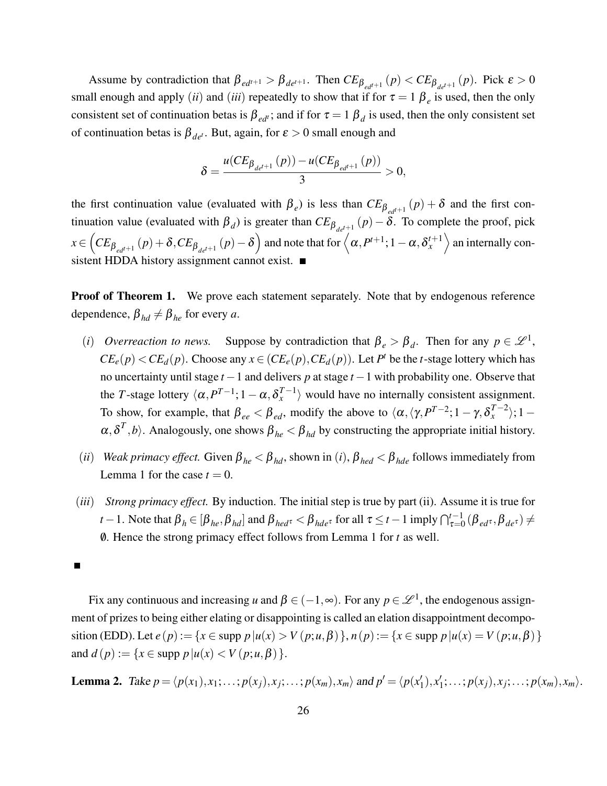Assume by contradiction that  $\beta_{ed^{t+1}} > \beta_{de^{t+1}}$ . Then  $CE_{\beta_{ed^{t+1}}}(p) < CE_{\beta_{de^{t+1}}}(p)$ . Pick  $\varepsilon > 0$ small enough and apply (*ii*) and (*iii*) repeatedly to show that if for  $\tau = 1$   $\beta_e$  is used, then the only consistent set of continuation betas is  $\beta_{ed}$ <sup>*t*</sup>; and if for  $\tau = 1$   $\beta_d$  is used, then the only consistent set of continuation betas is  $\beta_{de^t}$ . But, again, for  $\varepsilon > 0$  small enough and

$$
\delta = \frac{u(CE_{\beta_{d^{d^{t+1}}}}(p)) - u(CE_{\beta_{ed^{t+1}}}(p))}{3} > 0,
$$

the first continuation value (evaluated with  $\beta_e$ ) is less than  $CE_{\beta_{ed}^{d+1}}(p) + \delta$  and the first continuation value (evaluated with  $\beta_d$ ) is greater than  $CE_{\beta_{d^{e^{t+1}}}}(p) - \delta$ . To complete the proof, pick  $x \in \left( CE_{\beta_{ed^{t+1}}}(p) + \delta, CE_{\beta_{de^{t+1}}}(p) - \delta \right)$  and note that for  $\left\langle \alpha, P^{t+1}; 1-\alpha, \delta_x^{t+1} \right\rangle$  $\binom{t+1}{x}$  an internally consistent HDDA history assignment cannot exist.

**Proof of Theorem 1.** We prove each statement separately. Note that by endogenous reference dependence,  $\beta_{hd} \neq \beta_{he}$  for every *a*.

- (*i*) *Overreaction to news.* Suppose by contradiction that  $\beta_e > \beta_d$ . Then for any  $p \in \mathcal{L}^1$ ,  $CE_e(p) < CE_d(p)$ . Choose any  $x \in (CE_e(p), CE_d(p))$ . Let  $P^t$  be the *t*-stage lottery which has no uncertainty until stage *t* −1 and delivers *p* at stage *t* −1 with probability one. Observe that the *T*-stage lottery  $\langle \alpha, P^{T-1} ; 1 - \alpha, \delta_x^{T-1} \rangle$  $\langle u_x^{I-1} \rangle$  would have no internally consistent assignment. To show, for example, that  $\beta_{ee} < \beta_{ed}$ , modify the above to  $\langle \alpha, \langle \gamma, P^{T-2} ; 1 - \gamma, \delta_x^{T-2} \rangle$  $\langle x^{-2} \rangle$ ; 1 –  $\alpha, \delta^T, b$ . Analogously, one shows  $\beta_{he} < \beta_{hd}$  by constructing the appropriate initial history.
- (*ii*) *Weak primacy effect.* Given  $\beta_{he} < \beta_{hd}$ , shown in (*i*),  $\beta_{hed} < \beta_{hde}$  follows immediately from Lemma 1 for the case  $t = 0$ .
- (*iii*) *Strong primacy effect.* By induction. The initial step is true by part (ii). Assume it is true for *t* − 1. Note that  $\beta_h \in [\beta_{he}, \beta_{hd}]$  and  $\beta_{hed}$ <sup> $\tau$ </sup> <  $\beta_{hde}$  for all  $\tau \le t - 1$  imply  $\bigcap_{\tau=0}^{t-1} (\beta_{ed}^{\tau}, \beta_{de}^{\tau}) \ne$ /0. Hence the strong primacy effect follows from Lemma 1 for *t* as well.

П

Fix any continuous and increasing *u* and  $\beta \in (-1, \infty)$ . For any  $p \in \mathcal{L}^1$ , the endogenous assignment of prizes to being either elating or disappointing is called an elation disappointment decomposition (EDD). Let  $e(p) := \{x \in \text{supp } p | u(x) > V(p; u, \beta)\}, n(p) := \{x \in \text{supp } p | u(x) = V(p; u, \beta)\}\$ and  $d(p) := \{x \in \text{supp } p | u(x) < V(p; u, \beta)\}.$ 

**Lemma 2.** Take  $p = \langle p(x_1), x_1; \ldots; p(x_j), x_j; \ldots; p(x_m), x_m \rangle$  and  $p' = \langle p(x_1) \rangle$  $'_{1}),x'_{1}$  $'_{1};\ldots; p(x_{j}),x_{j};\ldots; p(x_{m}),x_{m}$ .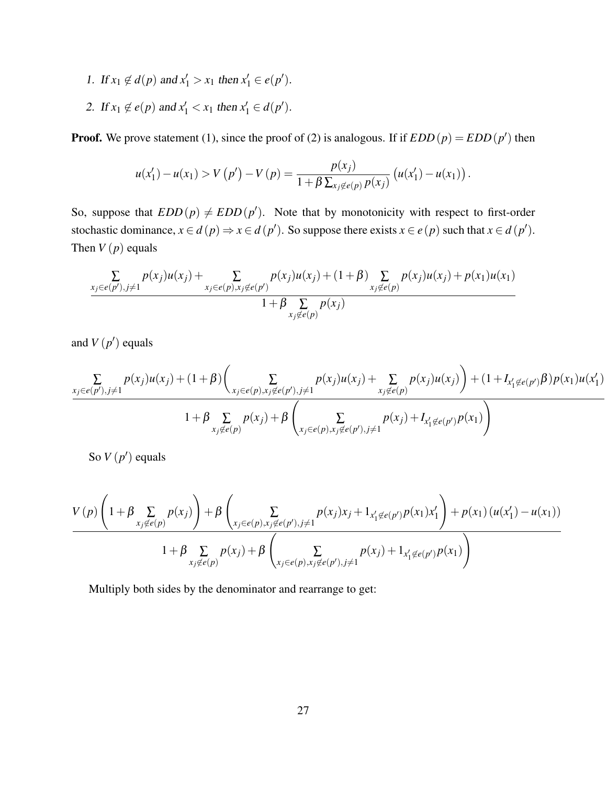- 1. If  $x_1 \notin d(p)$  and  $x'_1 > x_1$  then  $x'_1 \in e(p')$ .
- 2. If  $x_1 \notin e(p)$  and  $x'_1 < x_1$  then  $x'_1 \in d(p')$ .

**Proof.** We prove statement (1), since the proof of (2) is analogous. If if  $EDD(p) = EDD(p')$  then

$$
u(x'_1) - u(x_1) > V(p') - V(p) = \frac{p(x_j)}{1 + \beta \sum_{x_j \notin e(p)} p(x_j)} \left( u(x'_1) - u(x_1) \right).
$$

So, suppose that  $EDD(p) \neq EDD(p')$ . Note that by monotonicity with respect to first-order stochastic dominance,  $x \in d(p) \Rightarrow x \in d(p')$ . So suppose there exists  $x \in e(p)$  such that  $x \in d(p')$ . Then  $V(p)$  equals

$$
\frac{\sum\limits_{x_j \in e(p'), j \neq 1} p(x_j)u(x_j) + \sum\limits_{x_j \in e(p), x_j \notin e(p')} p(x_j)u(x_j) + (1 + \beta) \sum\limits_{x_j \notin e(p)} p(x_j)u(x_j) + p(x_1)u(x_1)}{1 + \beta \sum\limits_{x_j \notin e(p)} p(x_j)}
$$

and  $V(p')$  equals

$$
\frac{\sum_{x_j \in e(p'), j \neq 1} p(x_j)u(x_j) + (1 + \beta) \left( \sum_{x_j \in e(p), x_j \notin e(p'), j \neq 1} p(x_j)u(x_j) + \sum_{x_j \notin e(p)} p(x_j)u(x_j) \right) + (1 + I_{x'_1 \notin e(p')} \beta) p(x_1)u(x'_1)}{1 + \beta \sum_{x_j \notin e(p)} p(x_j) + \beta \left( \sum_{x_j \in e(p), x_j \notin e(p'), j \neq 1} p(x_j) + I_{x'_1 \notin e(p')} p(x_1) \right)}
$$

So  $V(p')$  equals

$$
\frac{V(p)\left(1+\beta \sum_{x_j \notin e(p)} p(x_j)\right) + \beta \left(\sum_{x_j \in e(p), x_j \notin e(p'), j \neq 1} p(x_j)x_j + 1_{x'_1 \notin e(p')} p(x_1)x'_1\right) + p(x_1)\left(u(x'_1) - u(x_1)\right)}{1+\beta \sum_{x_j \notin e(p)} p(x_j) + \beta \left(\sum_{x_j \in e(p), x_j \notin e(p'), j \neq 1} p(x_j) + 1_{x'_1 \notin e(p')} p(x_1)\right)}
$$

Multiply both sides by the denominator and rearrange to get: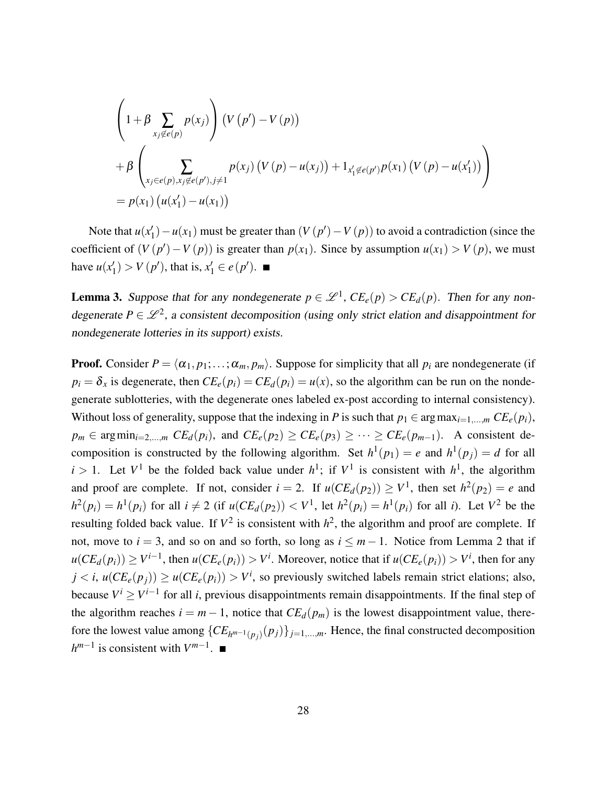$$
\left(1+\beta \sum_{x_j \notin e(p)} p(x_j)\right) (V (p') - V (p))
$$
  
+  $\beta \left(\sum_{x_j \in e(p), x_j \notin e(p'), j \neq 1} p(x_j) (V (p) - u(x_j)) + 1_{x'_1 \notin e(p')} p(x_1) (V (p) - u(x'_1))\right)$   
=  $p(x_1) (u(x'_1) - u(x_1))$ 

Note that  $u(x_1)$  $\binom{1}{1} - u(x_1)$  must be greater than  $(V(p') - V(p))$  to avoid a contradiction (since the coefficient of  $(V(p') - V(p))$  is greater than  $p(x_1)$ . Since by assumption  $u(x_1) > V(p)$ , we must have  $u(x_1)$  $Y_1$ ) > *V* (*p'*), that is,  $x'_1 \in e(p')$ .

**Lemma 3.** Suppose that for any nondegenerate  $p \in \mathcal{L}^1$ ,  $CE_e(p) > CE_d(p)$ . Then for any nondegenerate  $P \in \mathcal{L}^2$ , a consistent decomposition (using only strict elation and disappointment for nondegenerate lotteries in its support) exists.

**Proof.** Consider  $P = \langle \alpha_1, p_1; \dots; \alpha_m, p_m \rangle$ . Suppose for simplicity that all  $p_i$  are nondegenerate (if  $p_i = \delta_x$  is degenerate, then  $CE_e(p_i) = CE_d(p_i) = u(x)$ , so the algorithm can be run on the nondegenerate sublotteries, with the degenerate ones labeled ex-post according to internal consistency). Without loss of generality, suppose that the indexing in *P* is such that  $p_1 \in \arg \max_{i=1,\dots,m} CE_e(p_i)$ ,  $p_m \in \arg \min_{i=2,...,m} CE_d(p_i)$ , and  $CE_e(p_2) \geq CE_e(p_3) \geq \cdots \geq CE_e(p_{m-1})$ . A consistent decomposition is constructed by the following algorithm. Set  $h^1(p_1) = e$  and  $h^1(p_j) = d$  for all  $i > 1$ . Let  $V^1$  be the folded back value under  $h^1$ ; if  $V^1$  is consistent with  $h^1$ , the algorithm and proof are complete. If not, consider  $i = 2$ . If  $u(CE_d(p_2)) \ge V^1$ , then set  $h^2(p_2) = e$  and  $h^2(p_i) = h^1(p_i)$  for all  $i \neq 2$  (if  $u(CE_d(p_2)) < V^1$ , let  $h^2(p_i) = h^1(p_i)$  for all i). Let  $V^2$  be the resulting folded back value. If  $V^2$  is consistent with  $h^2$ , the algorithm and proof are complete. If not, move to  $i = 3$ , and so on and so forth, so long as  $i \leq m - 1$ . Notice from Lemma 2 that if  $u(CE_d(p_i)) \ge V^{i-1}$ , then  $u(CE_e(p_i)) > V^i$ . Moreover, notice that if  $u(CE_e(p_i)) > V^i$ , then for any  $j < i$ ,  $u(CE_e(p_j)) \geq u(CE_e(p_i)) > V^i$ , so previously switched labels remain strict elations; also, because  $V^i \geq V^{i-1}$  for all *i*, previous disappointments remain disappointments. If the final step of the algorithm reaches  $i = m - 1$ , notice that  $CE_d(p_m)$  is the lowest disappointment value, therefore the lowest value among  $\{CE_{h^{m-1}(p_j)}(p_j)\}_{j=1,\dots,m}$ . Hence, the final constructed decomposition  $h^{m-1}$  is consistent with  $V^{m-1}$ .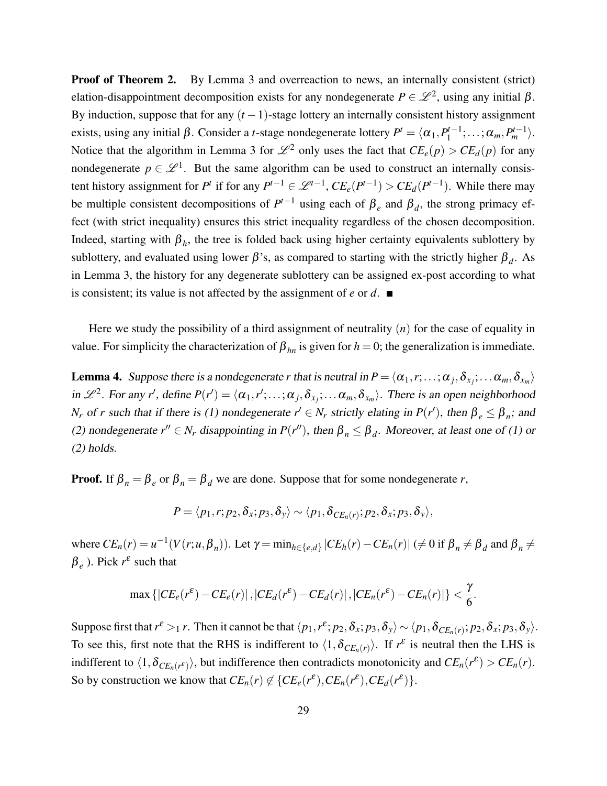**Proof of Theorem 2.** By Lemma 3 and overreaction to news, an internally consistent (strict) elation-disappointment decomposition exists for any nondegenerate  $P \in \mathcal{L}^2$ , using any initial  $\beta$ . By induction, suppose that for any  $(t-1)$ -stage lottery an internally consistent history assignment exists, using any initial β. Consider a *t*-stage nondegenerate lottery  $P<sup>t</sup> = \langle α<sub>1</sub>, P<sub>1</sub><sup>t-1</sup>$  $\alpha_1^{t-1};\ldots;\alpha_m,P_m^{t-1}\rangle.$ Notice that the algorithm in Lemma 3 for  $\mathscr{L}^2$  only uses the fact that  $CE_e(p) > CE_d(p)$  for any nondegenerate  $p \in \mathcal{L}^1$ . But the same algorithm can be used to construct an internally consistent history assignment for  $P^t$  if for any  $P^{t-1} \in \mathcal{L}^{t-1}$ ,  $CE_e(P^{t-1}) > CE_d(P^{t-1})$ . While there may be multiple consistent decompositions of  $P^{t-1}$  using each of  $\beta_e$  and  $\beta_d$ , the strong primacy effect (with strict inequality) ensures this strict inequality regardless of the chosen decomposition. Indeed, starting with  $\beta_h$ , the tree is folded back using higher certainty equivalents sublottery by sublottery, and evaluated using lower  $\beta$ 's, as compared to starting with the strictly higher  $\beta_d$ . As in Lemma 3, the history for any degenerate sublottery can be assigned ex-post according to what is consistent; its value is not affected by the assignment of *e* or *d*.

Here we study the possibility of a third assignment of neutrality (*n*) for the case of equality in value. For simplicity the characterization of  $\beta_{hn}$  is given for  $h = 0$ ; the generalization is immediate.

**Lemma 4.** Suppose there is a nondegenerate *r* that is neutral in  $P = \langle \alpha_1, r; \dots; \alpha_j, \delta_{x_j}; \dots \alpha_m, \delta_{x_m} \rangle$ in  $\mathscr{L}^2$ . For any *r'*, define  $P(r') = \langle \alpha_1, r'; \dots; \alpha_j, \delta_{x_j}; \dots \alpha_m, \delta_{x_m} \rangle$ . There is an open neighborhood *N<sub>r</sub>* of *r* such that if there is (1) nondegenerate  $r' \in N_r$  strictly elating in  $P(r')$ , then  $\beta_e \leq \beta_n$ ; and (2) nondegenerate  $r'' \in N_r$  disappointing in  $P(r'')$ , then  $\beta_n \leq \beta_d$ . Moreover, at least one of (1) or (2) holds.

**Proof.** If  $\beta_n = \beta_e$  or  $\beta_n = \beta_d$  we are done. Suppose that for some nondegenerate *r*,

$$
P = \langle p_1, r; p_2, \delta_x; p_3, \delta_y \rangle \sim \langle p_1, \delta_{CE_n(r)}; p_2, \delta_x; p_3, \delta_y \rangle,
$$

where  $CE_n(r) = u^{-1}(V(r; u, \beta_n))$ . Let  $\gamma = \min_{h \in \{e, d\}} |CE_h(r) - CE_n(r)| \neq 0$  if  $\beta_n \neq \beta_d$  and  $\beta_n \neq 0$  $\beta_e$ ). Pick  $r^{\varepsilon}$  such that

$$
\max\left\{|CE_e(r^{\varepsilon})-CE_e(r)|, |CE_d(r^{\varepsilon})-CE_d(r)|, |CE_n(r^{\varepsilon})-CE_n(r)|\right\}<\frac{\gamma}{6}.
$$

Suppose first that  $r^{\varepsilon} >_1 r$ . Then it cannot be that  $\langle p_1, r^{\varepsilon}; p_2, \delta_x; p_3, \delta_y \rangle \sim \langle p_1, \delta_{CE_n(r)}; p_2, \delta_x; p_3, \delta_y \rangle$ . To see this, first note that the RHS is indifferent to  $\langle 1, \delta_{CE_n(r)} \rangle$ . If  $r^{\varepsilon}$  is neutral then the LHS is indifferent to  $\langle 1, \delta_{CE_n(r^{\varepsilon})} \rangle$ , but indifference then contradicts monotonicity and  $CE_n(r^{\varepsilon}) > CE_n(r)$ . So by construction we know that  $CE_n(r) \notin \{CE_e(r^{\varepsilon}), CE_n(r^{\varepsilon}), CE_d(r^{\varepsilon})\}.$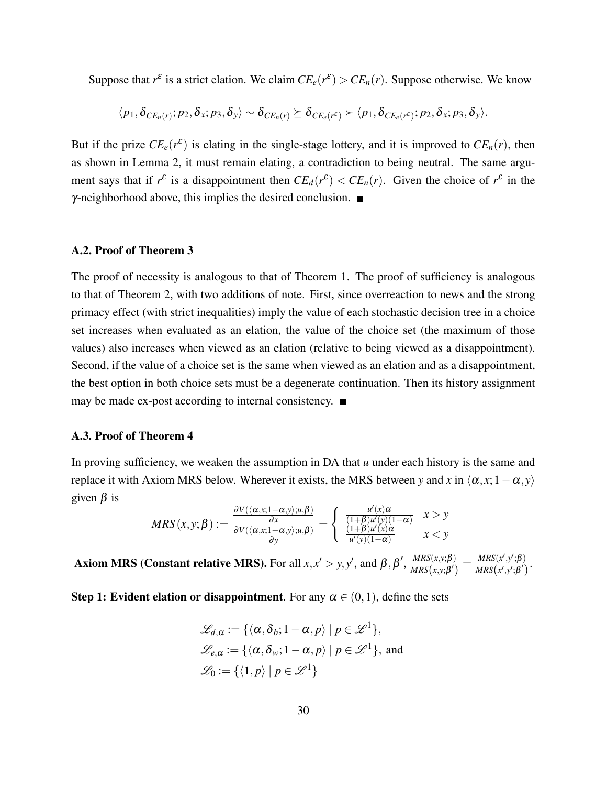Suppose that  $r^{\varepsilon}$  is a strict elation. We claim  $CE_e(r^{\varepsilon}) > CE_n(r)$ . Suppose otherwise. We know

$$
\langle p_1, \delta_{CE_n(r)}; p_2, \delta_x; p_3, \delta_y \rangle \sim \delta_{CE_n(r)} \succeq \delta_{CE_e(r^{\varepsilon})} \succ \langle p_1, \delta_{CE_e(r^{\varepsilon})}; p_2, \delta_x; p_3, \delta_y \rangle.
$$

But if the prize  $CE_e(r^{\varepsilon})$  is elating in the single-stage lottery, and it is improved to  $CE_n(r)$ , then as shown in Lemma 2, it must remain elating, a contradiction to being neutral. The same argument says that if  $r^{\varepsilon}$  is a disappointment then  $CE_d(r^{\varepsilon}) < CE_n(r)$ . Given the choice of  $r^{\varepsilon}$  in the  $\gamma$ -neighborhood above, this implies the desired conclusion.  $\blacksquare$ 

#### A.2. Proof of Theorem 3

The proof of necessity is analogous to that of Theorem 1. The proof of sufficiency is analogous to that of Theorem 2, with two additions of note. First, since overreaction to news and the strong primacy effect (with strict inequalities) imply the value of each stochastic decision tree in a choice set increases when evaluated as an elation, the value of the choice set (the maximum of those values) also increases when viewed as an elation (relative to being viewed as a disappointment). Second, if the value of a choice set is the same when viewed as an elation and as a disappointment, the best option in both choice sets must be a degenerate continuation. Then its history assignment may be made ex-post according to internal consistency.  $\blacksquare$ 

#### A.3. Proof of Theorem 4

In proving sufficiency, we weaken the assumption in DA that *u* under each history is the same and replace it with Axiom MRS below. Wherever it exists, the MRS between *y* and *x* in  $\langle \alpha, x; 1-\alpha, y \rangle$ given  $\beta$  is

$$
MRS(x, y; \beta) := \frac{\frac{\partial V(\langle \alpha, x; 1 - \alpha, y \rangle; u, \beta)}{\partial x}}{\frac{\partial V(\langle \alpha, x; 1 - \alpha, y \rangle; u, \beta)}{\partial y}} = \begin{cases} \frac{u'(x)\alpha}{(1+\beta)u'(y)(1-\alpha)} & x > y \\ \frac{(1+\beta)u'(x)\alpha}{u'(y)(1-\alpha)} & x < y \end{cases}
$$

**Axiom MRS (Constant relative MRS).** For all  $x, x' > y, y'$ , and  $\beta, \beta', \frac{MRS(x,y;\beta)}{MPS(x,y;\beta')}$  $\frac{MRS(x,y;\beta)}{MRS(x,y;\beta')} = \frac{MRS(x',y';\beta)}{MRS(x',y';\beta')}$  $\frac{MRS(x',y';\beta')}{MRS(x',y';\beta')}$ 

Step 1: Evident elation or disappointment. For any  $\alpha \in (0,1)$ , define the sets

$$
\mathcal{L}_{d,\alpha} := \{ \langle \alpha, \delta_b; 1 - \alpha, p \rangle \mid p \in \mathcal{L}^1 \},
$$
  

$$
\mathcal{L}_{e,\alpha} := \{ \langle \alpha, \delta_w; 1 - \alpha, p \rangle \mid p \in \mathcal{L}^1 \}, \text{ and}
$$
  

$$
\mathcal{L}_0 := \{ \langle 1, p \rangle \mid p \in \mathcal{L}^1 \}
$$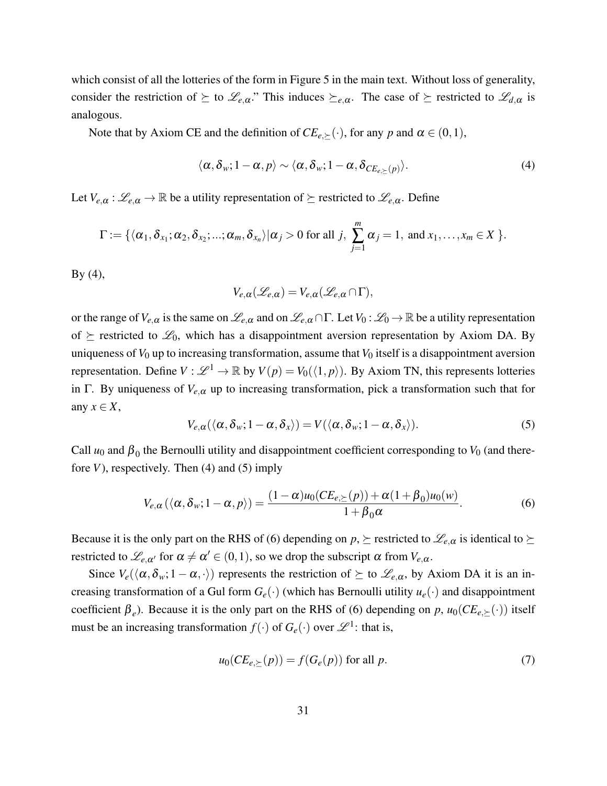which consist of all the lotteries of the form in Figure 5 in the main text. Without loss of generality, consider the restriction of  $\succeq$  to  $\mathscr{L}_{e,\alpha}$ ." This induces  $\succeq_{e,\alpha}$ . The case of  $\succeq$  restricted to  $\mathscr{L}_{d,\alpha}$  is analogous.

Note that by Axiom CE and the definition of  $CE_{e,\succeq}(\cdot)$ , for any p and  $\alpha \in (0,1)$ ,

$$
\langle \alpha, \delta_w; 1-\alpha, p \rangle \sim \langle \alpha, \delta_w; 1-\alpha, \delta_{CE_{e, \succeq}(p)} \rangle.
$$
 (4)

Let  $V_{e,\alpha}: \mathscr{L}_{e,\alpha} \to \mathbb{R}$  be a utility representation of  $\succeq$  restricted to  $\mathscr{L}_{e,\alpha}$ . Define

$$
\Gamma:=\{\langle \alpha_1,\delta_{x_1};\alpha_2,\delta_{x_2};...;\alpha_m,\delta_{x_n}\rangle | \alpha_j>0 \text{ for all } j, \sum_{j=1}^m \alpha_j=1, \text{ and } x_1,\ldots,x_m\in X\}.
$$

By (4),

$$
V_{e,\alpha}(\mathscr{L}_{e,\alpha})=V_{e,\alpha}(\mathscr{L}_{e,\alpha}\cap\Gamma),
$$

or the range of  $V_{e,\alpha}$  is the same on  $\mathcal{L}_{e,\alpha}$  and on  $\mathcal{L}_{e,\alpha} \cap \Gamma$ . Let  $V_0 : \mathcal{L}_0 \to \mathbb{R}$  be a utility representation of  $\succeq$  restricted to  $\mathcal{L}_0$ , which has a disappointment aversion representation by Axiom DA. By uniqueness of  $V_0$  up to increasing transformation, assume that  $V_0$  itself is a disappointment aversion representation. Define  $V : \mathcal{L}^1 \to \mathbb{R}$  by  $V(p) = V_0(\langle 1, p \rangle)$ . By Axiom TN, this represents lotteries in Γ. By uniqueness of  $V_{e,\alpha}$  up to increasing transformation, pick a transformation such that for any  $x \in X$ ,

$$
V_{e,\alpha}(\langle \alpha, \delta_w; 1-\alpha, \delta_x \rangle) = V(\langle \alpha, \delta_w; 1-\alpha, \delta_x \rangle).
$$
 (5)

Call  $u_0$  and  $\beta_0$  the Bernoulli utility and disappointment coefficient corresponding to  $V_0$  (and therefore *V*), respectively. Then (4) and (5) imply

$$
V_{e,\alpha}(\langle \alpha, \delta_w; 1-\alpha, p \rangle) = \frac{(1-\alpha)u_0(CE_{e,\succeq}(p)) + \alpha(1+\beta_0)u_0(w)}{1+\beta_0\alpha}.
$$
 (6)

Because it is the only part on the RHS of (6) depending on  $p, \succeq$  restricted to  $\mathcal{L}_{e,\alpha}$  is identical to  $\succeq$ restricted to  $\mathcal{L}_{e,\alpha'}$  for  $\alpha \neq \alpha' \in (0,1)$ , so we drop the subscript  $\alpha$  from  $V_{e,\alpha}$ .

Since  $V_e(\langle \alpha, \delta_w; 1 - \alpha, \cdot \rangle)$  represents the restriction of  $\succeq$  to  $\mathscr{L}_{e,\alpha}$ , by Axiom DA it is an increasing transformation of a Gul form  $G_e(\cdot)$  (which has Bernoulli utility  $u_e(\cdot)$  and disappointment coefficient  $\beta_e$ ). Because it is the only part on the RHS of (6) depending on *p*,  $u_0(CE_{e,\succeq}(\cdot))$  itself must be an increasing transformation  $f(\cdot)$  of  $G_e(\cdot)$  over  $\mathscr{L}^1$ : that is,

$$
u_0(CE_{e,\succeq}(p)) = f(G_e(p)) \text{ for all } p. \tag{7}
$$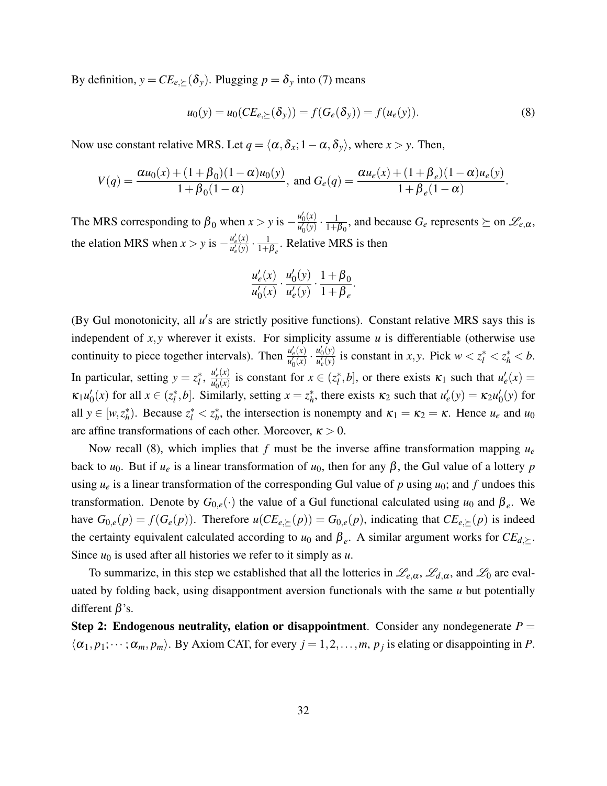By definition,  $y = CE_{e, \succeq}(\delta_y)$ . Plugging  $p = \delta_y$  into (7) means

$$
u_0(y) = u_0(CE_{e,\succeq}(\delta_y)) = f(G_e(\delta_y)) = f(u_e(y)).
$$
\n(8)

Now use constant relative MRS. Let  $q = \langle \alpha, \delta_x; 1-\alpha, \delta_y \rangle$ , where  $x > y$ . Then,

$$
V(q) = \frac{\alpha u_0(x) + (1 + \beta_0)(1 - \alpha)u_0(y)}{1 + \beta_0(1 - \alpha)}, \text{ and } G_e(q) = \frac{\alpha u_e(x) + (1 + \beta_e)(1 - \alpha)u_e(y)}{1 + \beta_e(1 - \alpha)}.
$$

The MRS corresponding to  $\beta_0$  when  $x > y$  is  $-\frac{u'_0(x)}{u'_0(y)}$  $\frac{u'_0(x)}{u'_0(y)} \cdot \frac{1}{1+y}$  $\frac{1}{1+\beta_0}$ , and because  $G_e$  represents  $\succeq$  on  $\mathscr{L}_{e,\alpha}$ , the elation MRS when  $x > y$  is  $-\frac{u'_e(x)}{u'(y)}$  $\frac{u'_e(x)}{u'_e(y)} \cdot \frac{1}{1+y}$  $\frac{1}{1+\beta_e}$ . Relative MRS is then

$$
\frac{u'_e(x)}{u'_0(x)} \cdot \frac{u'_0(y)}{u'_e(y)} \cdot \frac{1+\beta_0}{1+\beta_e}.
$$

(By Gul monotonicity, all  $u$ 's are strictly positive functions). Constant relative MRS says this is independent of  $x, y$  wherever it exists. For simplicity assume  $u$  is differentiable (otherwise use continuity to piece together intervals). Then  $\frac{u'_e(x)}{u'(x)}$  $\frac{u'_e(x)}{u'_0(x)} \cdot \frac{u'_0(y)}{u'_e(y)}$  $\frac{u_0(y)}{u'_e(y)}$  is constant in *x*, *y*. Pick  $w < z_l^* < z_h^* < b$ . In particular, setting  $y = z_i^*$  $\frac{u'_e(x)}{u'_0(x)}$  $\frac{u'_e(x)}{u'_0(x)}$  is constant for  $x \in (z_l^*)$  $\chi^*_{l}$ , *b*], or there exists  $\kappa_1$  such that  $u'_e(x) =$  $\kappa_1 u_0'$  $\chi_0'(x)$  for all  $x \in (z_l^*)$  $\binom{x}{k}$ , *b*]. Similarly, setting  $x = z_h^*$ <sup>\*</sup><sub>*h*</sub>, there exists  $\kappa_2$  such that  $u'_e(y) = \kappa_2 u'_0$  $y'_0(y)$  for all  $y \in [w, z_h^*]$ <sup>\*</sup><sub>*h*</sub> $)$ . Because  $z_l^* < z_h^*$  $h_h^*$ , the intersection is nonempty and  $\kappa_1 = \kappa_2 = \kappa$ . Hence  $u_e$  and  $u_0$ are affine transformations of each other. Moreover,  $\kappa > 0$ .

Now recall (8), which implies that *f* must be the inverse affine transformation mapping *u<sup>e</sup>* back to  $u_0$ . But if  $u_e$  is a linear transformation of  $u_0$ , then for any  $\beta$ , the Gul value of a lottery p using  $u_e$  is a linear transformation of the corresponding Gul value of  $p$  using  $u_0$ ; and  $f$  undoes this transformation. Denote by  $G_{0,e}(\cdot)$  the value of a Gul functional calculated using  $u_0$  and  $\beta_e$ . We have  $G_{0,e}(p) = f(G_e(p))$ . Therefore  $u(CE_{e,\succeq}(p)) = G_{0,e}(p)$ , indicating that  $CE_{e,\succeq}(p)$  is indeed the certainty equivalent calculated according to  $u_0$  and  $\beta_e$ . A similar argument works for  $CE_{d,\succeq}$ . Since *u*<sup>0</sup> is used after all histories we refer to it simply as *u*.

To summarize, in this step we established that all the lotteries in  $\mathcal{L}_{e,\alpha}$ ,  $\mathcal{L}_{d,\alpha}$ , and  $\mathcal{L}_0$  are evaluated by folding back, using disappontment aversion functionals with the same *u* but potentially different  $\beta$ 's.

**Step 2: Endogenous neutrality, elation or disappointment**. Consider any nondegenerate  $P =$  $\langle \alpha_1, p_1; \dots; \alpha_m, p_m \rangle$ . By Axiom CAT, for every  $j = 1, 2, \dots, m$ ,  $p_j$  is elating or disappointing in *P*.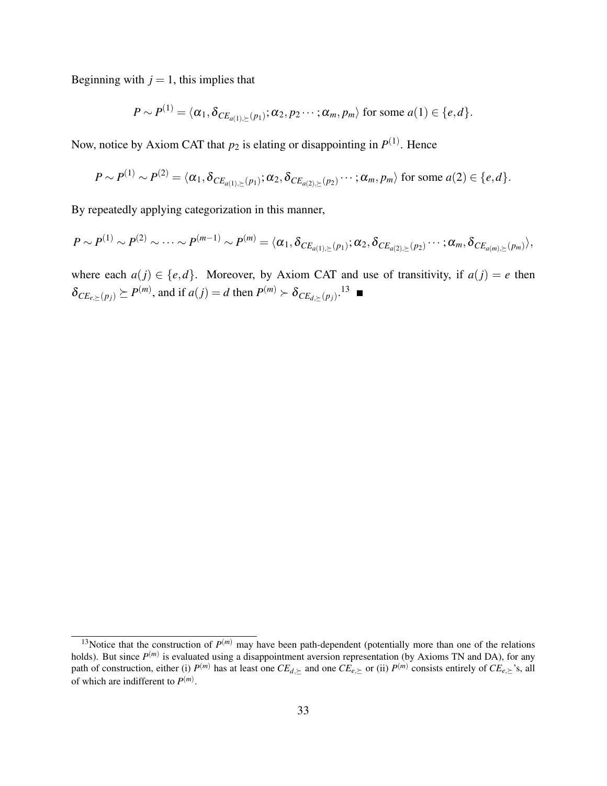Beginning with  $j = 1$ , this implies that

$$
P \sim P^{(1)} = \langle \alpha_1, \delta_{CE_{a(1),\geq}(p_1)}; \alpha_2, p_2 \cdots; \alpha_m, p_m \rangle \text{ for some } a(1) \in \{e, d\}.
$$

Now, notice by Axiom CAT that  $p_2$  is elating or disappointing in  $P^{(1)}$ . Hence

$$
P \sim P^{(1)} \sim P^{(2)} = \langle \alpha_1, \delta_{CE_{a(1), \succeq}(p_1)}; \alpha_2, \delta_{CE_{a(2), \succeq}(p_2)} \cdots; \alpha_m, p_m \rangle \text{ for some } a(2) \in \{e, d\}.
$$

By repeatedly applying categorization in this manner,

$$
P \sim P^{(1)} \sim P^{(2)} \sim \cdots \sim P^{(m-1)} \sim P^{(m)} = \langle \alpha_1, \delta_{CE_{a(1),\geq}(p_1)}; \alpha_2, \delta_{CE_{a(2),\geq}(p_2)}\cdots; \alpha_m, \delta_{CE_{a(m),\geq}(p_m)}\rangle,
$$

where each  $a(j) \in \{e, d\}$ . Moreover, by Axiom CAT and use of transitivity, if  $a(j) = e$  then  $\delta_{CE_{e,\succeq}(p_j)} \succeq P^{(m)}$ , and if  $a(j) = d$  then  $P^{(m)} \succ \delta_{CE_{d,\succeq}(p_j)}$ .<sup>13</sup>

<sup>&</sup>lt;sup>13</sup>Notice that the construction of  $P^{(m)}$  may have been path-dependent (potentially more than one of the relations holds). But since  $P^{(m)}$  is evaluated using a disappointment aversion representation (by Axioms TN and DA), for any path of construction, either (i)  $P^{(m)}$  has at least one  $CE_{d,\succeq}$  and one  $CE_{e,\succeq}$  or (ii)  $P^{(m)}$  consists entirely of  $CE_{e,\succeq}$ 's, all of which are indifferent to  $P^{(m)}$ .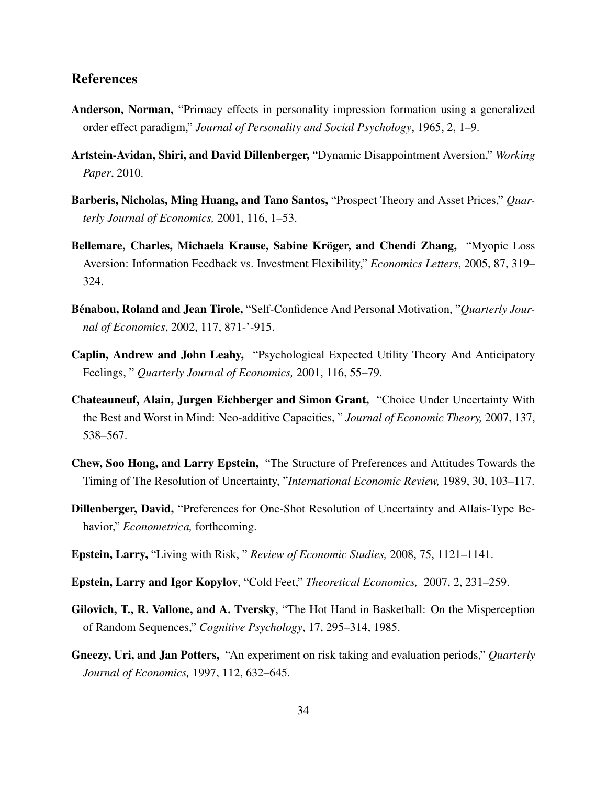## References

- Anderson, Norman, "Primacy effects in personality impression formation using a generalized order effect paradigm," *Journal of Personality and Social Psychology*, 1965, 2, 1–9.
- Artstein-Avidan, Shiri, and David Dillenberger, "Dynamic Disappointment Aversion," *Working Paper*, 2010.
- Barberis, Nicholas, Ming Huang, and Tano Santos, "Prospect Theory and Asset Prices," *Quarterly Journal of Economics,* 2001, 116, 1–53.
- Bellemare, Charles, Michaela Krause, Sabine Kröger, and Chendi Zhang, "Myopic Loss Aversion: Information Feedback vs. Investment Flexibility," *Economics Letters*, 2005, 87, 319– 324.
- **Bénabou, Roland and Jean Tirole,** "Self-Confidence And Personal Motivation, "*Quarterly Journal of Economics*, 2002, 117, 871-'-915.
- Caplin, Andrew and John Leahy, "Psychological Expected Utility Theory And Anticipatory Feelings, " *Quarterly Journal of Economics,* 2001, 116, 55–79.
- Chateauneuf, Alain, Jurgen Eichberger and Simon Grant, "Choice Under Uncertainty With the Best and Worst in Mind: Neo-additive Capacities, " *Journal of Economic Theory,* 2007, 137, 538–567.
- Chew, Soo Hong, and Larry Epstein, "The Structure of Preferences and Attitudes Towards the Timing of The Resolution of Uncertainty, "*International Economic Review,* 1989, 30, 103–117.
- Dillenberger, David, "Preferences for One-Shot Resolution of Uncertainty and Allais-Type Behavior," *Econometrica,* forthcoming.
- Epstein, Larry, "Living with Risk, " *Review of Economic Studies,* 2008, 75, 1121–1141.
- Epstein, Larry and Igor Kopylov, "Cold Feet," *Theoretical Economics,* 2007, 2, 231–259.
- Gilovich, T., R. Vallone, and A. Tversky, "The Hot Hand in Basketball: On the Misperception of Random Sequences," *Cognitive Psychology*, 17, 295–314, 1985.
- Gneezy, Uri, and Jan Potters, "An experiment on risk taking and evaluation periods," *Quarterly Journal of Economics,* 1997, 112, 632–645.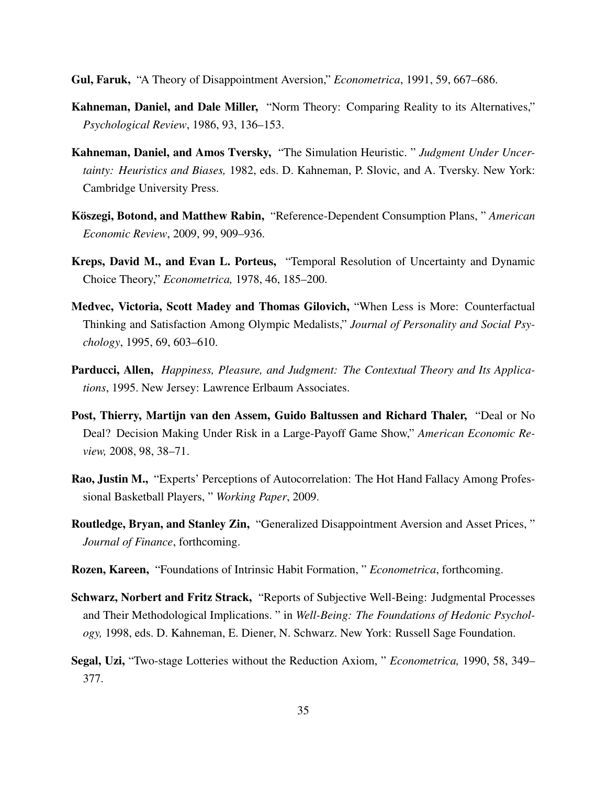- Gul, Faruk, "A Theory of Disappointment Aversion," *Econometrica*, 1991, 59, 667–686.
- Kahneman, Daniel, and Dale Miller, "Norm Theory: Comparing Reality to its Alternatives," *Psychological Review*, 1986, 93, 136–153.
- Kahneman, Daniel, and Amos Tversky, "The Simulation Heuristic. " *Judgment Under Uncertainty: Heuristics and Biases,* 1982, eds. D. Kahneman, P. Slovic, and A. Tversky. New York: Cambridge University Press.
- Koszegi, Botond, and Matthew Rabin, ¨ "Reference-Dependent Consumption Plans, " *American Economic Review*, 2009, 99, 909–936.
- Kreps, David M., and Evan L. Porteus, "Temporal Resolution of Uncertainty and Dynamic Choice Theory," *Econometrica,* 1978, 46, 185–200.
- Medvec, Victoria, Scott Madey and Thomas Gilovich, "When Less is More: Counterfactual Thinking and Satisfaction Among Olympic Medalists," *Journal of Personality and Social Psychology*, 1995, 69, 603–610.
- Parducci, Allen, *Happiness, Pleasure, and Judgment: The Contextual Theory and Its Applications*, 1995. New Jersey: Lawrence Erlbaum Associates.
- Post, Thierry, Martijn van den Assem, Guido Baltussen and Richard Thaler, "Deal or No Deal? Decision Making Under Risk in a Large-Payoff Game Show," *American Economic Review,* 2008, 98, 38–71.
- Rao, Justin M., "Experts' Perceptions of Autocorrelation: The Hot Hand Fallacy Among Professional Basketball Players, " *Working Paper*, 2009.
- Routledge, Bryan, and Stanley Zin, "Generalized Disappointment Aversion and Asset Prices, " *Journal of Finance*, forthcoming.
- Rozen, Kareen, "Foundations of Intrinsic Habit Formation, " *Econometrica*, forthcoming.
- Schwarz, Norbert and Fritz Strack, "Reports of Subjective Well-Being: Judgmental Processes and Their Methodological Implications. " in *Well-Being: The Foundations of Hedonic Psychology,* 1998, eds. D. Kahneman, E. Diener, N. Schwarz. New York: Russell Sage Foundation.
- Segal, Uzi, "Two-stage Lotteries without the Reduction Axiom, " *Econometrica,* 1990, 58, 349– 377.